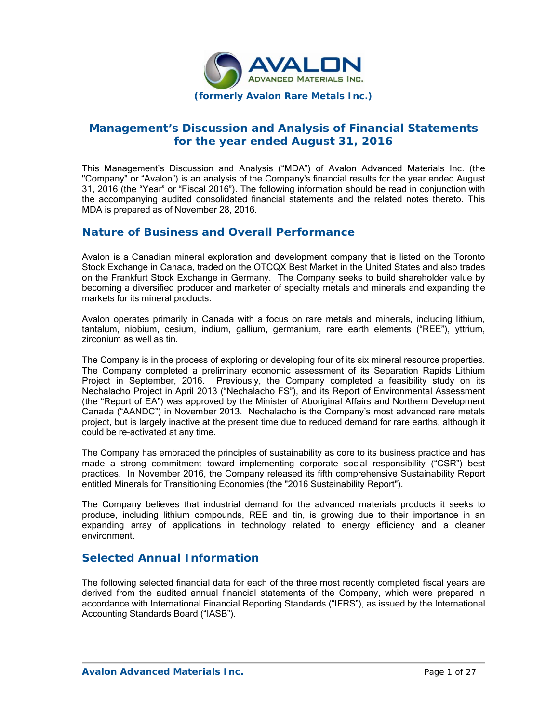

## **Management's Discussion and Analysis of Financial Statements for the year ended August 31, 2016**

This Management's Discussion and Analysis ("MDA") of Avalon Advanced Materials Inc. (the "Company" or "Avalon") is an analysis of the Company's financial results for the year ended August 31, 2016 (the "Year" or "Fiscal 2016"). The following information should be read in conjunction with the accompanying audited consolidated financial statements and the related notes thereto. This MDA is prepared as of November 28, 2016.

### **Nature of Business and Overall Performance**

Avalon is a Canadian mineral exploration and development company that is listed on the Toronto Stock Exchange in Canada, traded on the OTCQX Best Market in the United States and also trades on the Frankfurt Stock Exchange in Germany. The Company seeks to build shareholder value by becoming a diversified producer and marketer of specialty metals and minerals and expanding the markets for its mineral products.

Avalon operates primarily in Canada with a focus on rare metals and minerals, including lithium, tantalum, niobium, cesium, indium, gallium, germanium, rare earth elements ("REE"), yttrium, zirconium as well as tin.

The Company is in the process of exploring or developing four of its six mineral resource properties. The Company completed a preliminary economic assessment of its Separation Rapids Lithium Project in September, 2016. Previously, the Company completed a feasibility study on its Nechalacho Project in April 2013 ("Nechalacho FS"), and its Report of Environmental Assessment (the "Report of EA") was approved by the Minister of Aboriginal Affairs and Northern Development Canada ("AANDC") in November 2013. Nechalacho is the Company's most advanced rare metals project, but is largely inactive at the present time due to reduced demand for rare earths, although it could be re-activated at any time.

The Company has embraced the principles of sustainability as core to its business practice and has made a strong commitment toward implementing corporate social responsibility ("CSR") best practices. In November 2016, the Company released its fifth comprehensive Sustainability Report entitled Minerals for Transitioning Economies (the "2016 Sustainability Report").

The Company believes that industrial demand for the advanced materials products it seeks to produce, including lithium compounds, REE and tin, is growing due to their importance in an expanding array of applications in technology related to energy efficiency and a cleaner environment.

### **Selected Annual Information**

The following selected financial data for each of the three most recently completed fiscal years are derived from the audited annual financial statements of the Company, which were prepared in accordance with International Financial Reporting Standards ("IFRS"), as issued by the International Accounting Standards Board ("IASB").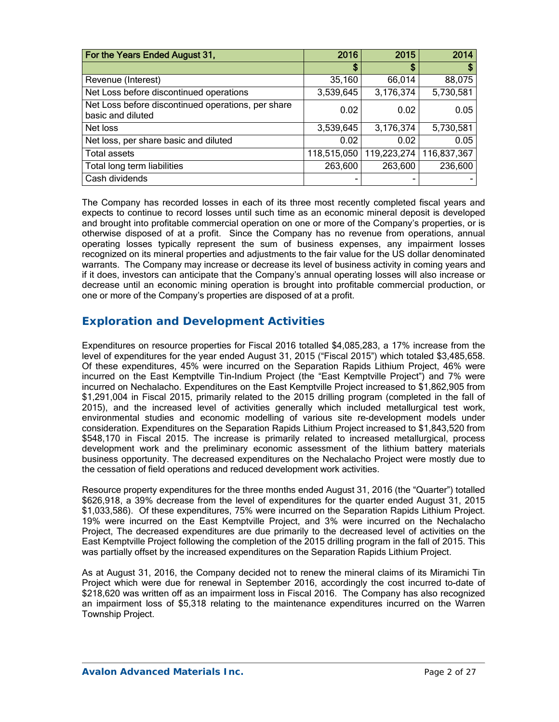| For the Years Ended August 31,                                          | 2016        | 2015        | 2014        |
|-------------------------------------------------------------------------|-------------|-------------|-------------|
|                                                                         | \$          | \$          | \$          |
| Revenue (Interest)                                                      | 35,160      | 66,014      | 88,075      |
| Net Loss before discontinued operations                                 | 3,539,645   | 3,176,374   | 5,730,581   |
| Net Loss before discontinued operations, per share<br>basic and diluted | 0.02        | 0.02        | 0.05        |
| Net loss                                                                | 3,539,645   | 3,176,374   | 5,730,581   |
| Net loss, per share basic and diluted                                   | 0.02        | 0.02        | 0.05        |
| <b>Total assets</b>                                                     | 118,515,050 | 119,223,274 | 116,837,367 |
| Total long term liabilities                                             | 263,600     | 263,600     | 236,600     |
| Cash dividends                                                          |             |             |             |

The Company has recorded losses in each of its three most recently completed fiscal years and expects to continue to record losses until such time as an economic mineral deposit is developed and brought into profitable commercial operation on one or more of the Company's properties, or is otherwise disposed of at a profit. Since the Company has no revenue from operations, annual operating losses typically represent the sum of business expenses, any impairment losses recognized on its mineral properties and adjustments to the fair value for the US dollar denominated warrants. The Company may increase or decrease its level of business activity in coming years and if it does, investors can anticipate that the Company's annual operating losses will also increase or decrease until an economic mining operation is brought into profitable commercial production, or one or more of the Company's properties are disposed of at a profit.

### **Exploration and Development Activities**

Expenditures on resource properties for Fiscal 2016 totalled \$4,085,283, a 17% increase from the level of expenditures for the year ended August 31, 2015 ("Fiscal 2015") which totaled \$3,485,658. Of these expenditures, 45% were incurred on the Separation Rapids Lithium Project, 46% were incurred on the East Kemptville Tin-Indium Project (the "East Kemptville Project") and 7% were incurred on Nechalacho. Expenditures on the East Kemptville Project increased to \$1,862,905 from \$1,291,004 in Fiscal 2015, primarily related to the 2015 drilling program (completed in the fall of 2015), and the increased level of activities generally which included metallurgical test work, environmental studies and economic modelling of various site re-development models under consideration. Expenditures on the Separation Rapids Lithium Project increased to \$1,843,520 from \$548,170 in Fiscal 2015. The increase is primarily related to increased metallurgical, process development work and the preliminary economic assessment of the lithium battery materials business opportunity. The decreased expenditures on the Nechalacho Project were mostly due to the cessation of field operations and reduced development work activities.

Resource property expenditures for the three months ended August 31, 2016 (the "Quarter") totalled \$626,918, a 39% decrease from the level of expenditures for the quarter ended August 31, 2015 \$1,033,586). Of these expenditures, 75% were incurred on the Separation Rapids Lithium Project. 19% were incurred on the East Kemptville Project, and 3% were incurred on the Nechalacho Project, The decreased expenditures are due primarily to the decreased level of activities on the East Kemptville Project following the completion of the 2015 drilling program in the fall of 2015. This was partially offset by the increased expenditures on the Separation Rapids Lithium Project.

As at August 31, 2016, the Company decided not to renew the mineral claims of its Miramichi Tin Project which were due for renewal in September 2016, accordingly the cost incurred to-date of \$218,620 was written off as an impairment loss in Fiscal 2016. The Company has also recognized an impairment loss of \$5,318 relating to the maintenance expenditures incurred on the Warren Township Project.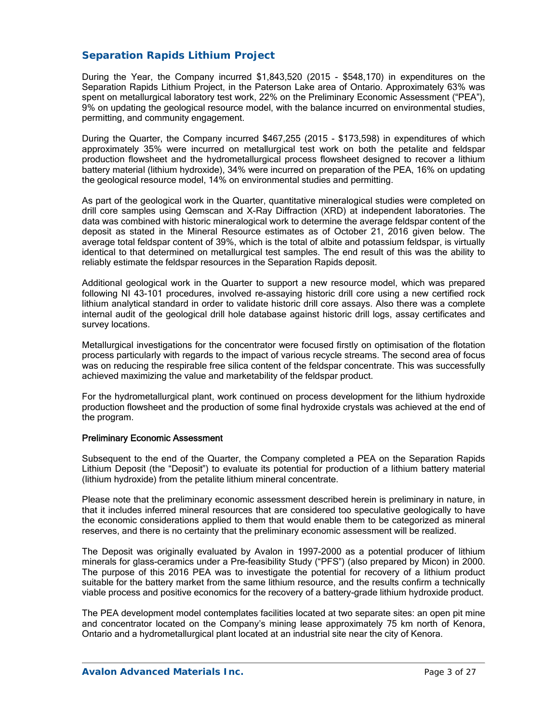### *Separation Rapids Lithium Project*

During the Year, the Company incurred \$1,843,520 (2015 - \$548,170) in expenditures on the Separation Rapids Lithium Project, in the Paterson Lake area of Ontario. Approximately 63% was spent on metallurgical laboratory test work, 22% on the Preliminary Economic Assessment ("PEA"), 9% on updating the geological resource model, with the balance incurred on environmental studies, permitting, and community engagement.

During the Quarter, the Company incurred \$467,255 (2015 - \$173,598) in expenditures of which approximately 35% were incurred on metallurgical test work on both the petalite and feldspar production flowsheet and the hydrometallurgical process flowsheet designed to recover a lithium battery material (lithium hydroxide), 34% were incurred on preparation of the PEA, 16% on updating the geological resource model, 14% on environmental studies and permitting.

As part of the geological work in the Quarter, quantitative mineralogical studies were completed on drill core samples using Qemscan and X-Ray Diffraction (XRD) at independent laboratories. The data was combined with historic mineralogical work to determine the average feldspar content of the deposit as stated in the Mineral Resource estimates as of October 21, 2016 given below. The average total feldspar content of 39%, which is the total of albite and potassium feldspar, is virtually identical to that determined on metallurgical test samples. The end result of this was the ability to reliably estimate the feldspar resources in the Separation Rapids deposit.

Additional geological work in the Quarter to support a new resource model, which was prepared following NI 43-101 procedures, involved re-assaying historic drill core using a new certified rock lithium analytical standard in order to validate historic drill core assays. Also there was a complete internal audit of the geological drill hole database against historic drill logs, assay certificates and survey locations.

Metallurgical investigations for the concentrator were focused firstly on optimisation of the flotation process particularly with regards to the impact of various recycle streams. The second area of focus was on reducing the respirable free silica content of the feldspar concentrate. This was successfully achieved maximizing the value and marketability of the feldspar product.

For the hydrometallurgical plant, work continued on process development for the lithium hydroxide production flowsheet and the production of some final hydroxide crystals was achieved at the end of the program.

#### Preliminary Economic Assessment

Subsequent to the end of the Quarter, the Company completed a PEA on the Separation Rapids Lithium Deposit (the "Deposit") to evaluate its potential for production of a lithium battery material (lithium hydroxide) from the petalite lithium mineral concentrate.

Please note that the preliminary economic assessment described herein is preliminary in nature, in that it includes inferred mineral resources that are considered too speculative geologically to have the economic considerations applied to them that would enable them to be categorized as mineral reserves, and there is no certainty that the preliminary economic assessment will be realized.

The Deposit was originally evaluated by Avalon in 1997-2000 as a potential producer of lithium minerals for glass-ceramics under a Pre-feasibility Study ("PFS") (also prepared by Micon) in 2000. The purpose of this 2016 PEA was to investigate the potential for recovery of a lithium product suitable for the battery market from the same lithium resource, and the results confirm a technically viable process and positive economics for the recovery of a battery-grade lithium hydroxide product.

The PEA development model contemplates facilities located at two separate sites: an open pit mine and concentrator located on the Company's mining lease approximately 75 km north of Kenora, Ontario and a hydrometallurgical plant located at an industrial site near the city of Kenora.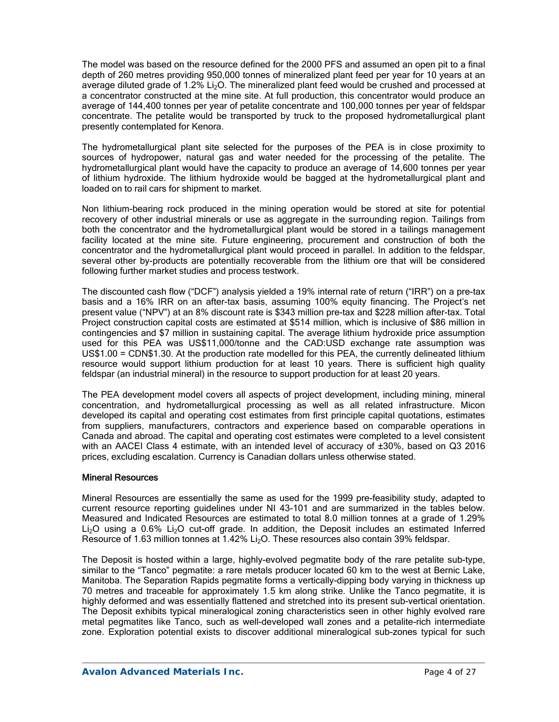The model was based on the resource defined for the 2000 PFS and assumed an open pit to a final depth of 260 metres providing 950,000 tonnes of mineralized plant feed per year for 10 years at an average diluted grade of 1.2%  $Li<sub>2</sub>O$ . The mineralized plant feed would be crushed and processed at a concentrator constructed at the mine site. At full production, this concentrator would produce an average of 144,400 tonnes per year of petalite concentrate and 100,000 tonnes per year of feldspar concentrate. The petalite would be transported by truck to the proposed hydrometallurgical plant presently contemplated for Kenora.

The hydrometallurgical plant site selected for the purposes of the PEA is in close proximity to sources of hydropower, natural gas and water needed for the processing of the petalite. The hydrometallurgical plant would have the capacity to produce an average of 14,600 tonnes per year of lithium hydroxide. The lithium hydroxide would be bagged at the hydrometallurgical plant and loaded on to rail cars for shipment to market.

Non lithium-bearing rock produced in the mining operation would be stored at site for potential recovery of other industrial minerals or use as aggregate in the surrounding region. Tailings from both the concentrator and the hydrometallurgical plant would be stored in a tailings management facility located at the mine site. Future engineering, procurement and construction of both the concentrator and the hydrometallurgical plant would proceed in parallel. In addition to the feldspar, several other by-products are potentially recoverable from the lithium ore that will be considered following further market studies and process testwork.

The discounted cash flow ("DCF") analysis yielded a 19% internal rate of return ("IRR") on a pre-tax basis and a 16% IRR on an after-tax basis, assuming 100% equity financing. The Project's net present value ("NPV") at an 8% discount rate is \$343 million pre-tax and \$228 million after-tax. Total Project construction capital costs are estimated at \$514 million, which is inclusive of \$86 million in contingencies and \$7 million in sustaining capital. The average lithium hydroxide price assumption used for this PEA was US\$11,000/tonne and the CAD:USD exchange rate assumption was US\$1.00 = CDN\$1.30. At the production rate modelled for this PEA, the currently delineated lithium resource would support lithium production for at least 10 years. There is sufficient high quality feldspar (an industrial mineral) in the resource to support production for at least 20 years.

The PEA development model covers all aspects of project development, including mining, mineral concentration, and hydrometallurgical processing as well as all related infrastructure. Micon developed its capital and operating cost estimates from first principle capital quotations, estimates from suppliers, manufacturers, contractors and experience based on comparable operations in Canada and abroad. The capital and operating cost estimates were completed to a level consistent with an AACEI Class 4 estimate, with an intended level of accuracy of ±30%, based on Q3 2016 prices, excluding escalation. Currency is Canadian dollars unless otherwise stated.

### Mineral Resources

Mineral Resources are essentially the same as used for the 1999 pre-feasibility study, adapted to current resource reporting guidelines under NI 43-101 and are summarized in the tables below. Measured and Indicated Resources are estimated to total 8.0 million tonnes at a grade of 1.29% Li<sub>2</sub>O using a 0.6% Li<sub>2</sub>O cut-off grade. In addition, the Deposit includes an estimated Inferred Resource of 1.63 million tonnes at 1.42% Li<sub>2</sub>O. These resources also contain 39% feldspar.

The Deposit is hosted within a large, highly-evolved pegmatite body of the rare petalite sub-type, similar to the "Tanco" pegmatite: a rare metals producer located 60 km to the west at Bernic Lake, Manitoba. The Separation Rapids pegmatite forms a vertically-dipping body varying in thickness up 70 metres and traceable for approximately 1.5 km along strike. Unlike the Tanco pegmatite, it is highly deformed and was essentially flattened and stretched into its present sub-vertical orientation. The Deposit exhibits typical mineralogical zoning characteristics seen in other highly evolved rare metal pegmatites like Tanco, such as well-developed wall zones and a petalite-rich intermediate zone. Exploration potential exists to discover additional mineralogical sub-zones typical for such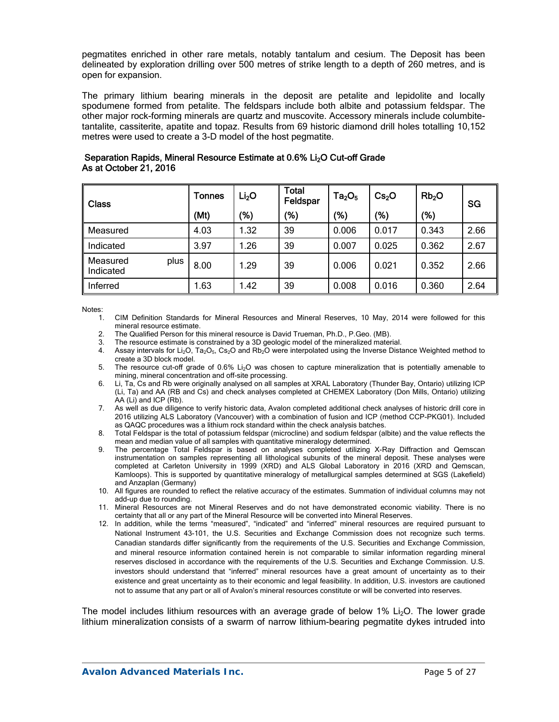pegmatites enriched in other rare metals, notably tantalum and cesium. The Deposit has been delineated by exploration drilling over 500 metres of strike length to a depth of 260 metres, and is open for expansion.

The primary lithium bearing minerals in the deposit are petalite and lepidolite and locally spodumene formed from petalite. The feldspars include both albite and potassium feldspar. The other major rock-forming minerals are quartz and muscovite. Accessory minerals include columbitetantalite, cassiterite, apatite and topaz. Results from 69 historic diamond drill holes totalling 10,152 metres were used to create a 3-D model of the host pegmatite.

| <b>Class</b>                  | <b>Tonnes</b> | Li <sub>2</sub> O | <b>Total</b><br>Feldspar | $Ta_2O_5$ | Cs <sub>2</sub> O | Rb <sub>2</sub> O | <b>SG</b> |  |
|-------------------------------|---------------|-------------------|--------------------------|-----------|-------------------|-------------------|-----------|--|
|                               | (Mt)          | '%)               | $\frac{1}{2}$            | (%)       | (%)               | (%)               |           |  |
| Measured                      | 4.03          | 1.32              | 39                       | 0.006     | 0.017             | 0.343             | 2.66      |  |
| Indicated                     | 3.97          | .26               | 39                       | 0.007     | 0.025             | 0.362             | 2.67      |  |
| Measured<br>plus<br>Indicated | 8.00          | 1.29              | 39                       | 0.006     | 0.021             | 0.352             | 2.66      |  |
| Inferred                      | 1.63          | 1.42              | 39                       | 0.008     | 0.016             | 0.360             | 2.64      |  |

### Separation Rapids, Mineral Resource Estimate at 0.6% Li<sub>2</sub>O Cut-off Grade As at October 21, 2016

Notes:

- 1. CIM Definition Standards for Mineral Resources and Mineral Reserves, 10 May, 2014 were followed for this mineral resource estimate.
- 2. The Qualified Person for this mineral resource is David Trueman, Ph.D., P.Geo. (MB).
- 3. The resource estimate is constrained by a 3D geologic model of the mineralized material.
- Assay intervals for Li<sub>2</sub>O, Ta<sub>2</sub>O<sub>5</sub>, Cs<sub>2</sub>O and Rb<sub>2</sub>O were interpolated using the Inverse Distance Weighted method to create a 3D block model.
- 5. The resource cut-off grade of 0.6% Li2O was chosen to capture mineralization that is potentially amenable to mining, mineral concentration and off-site processing.
- 6. Li, Ta, Cs and Rb were originally analysed on all samples at XRAL Laboratory (Thunder Bay, Ontario) utilizing ICP (Li, Ta) and AA (RB and Cs) and check analyses completed at CHEMEX Laboratory (Don Mills, Ontario) utilizing AA (Li) and ICP (Rb).
- 7. As well as due diligence to verify historic data, Avalon completed additional check analyses of historic drill core in 2016 utilizing ALS Laboratory (Vancouver) with a combination of fusion and ICP (method CCP-PKG01). Included as QAQC procedures was a lithium rock standard within the check analysis batches.
- 8. Total Feldspar is the total of potassium feldspar (microcline) and sodium feldspar (albite) and the value reflects the mean and median value of all samples with quantitative mineralogy determined.
- 9. The percentage Total Feldspar is based on analyses completed utilizing X-Ray Diffraction and Qemscan instrumentation on samples representing all lithological subunits of the mineral deposit. These analyses were completed at Carleton University in 1999 (XRD) and ALS Global Laboratory in 2016 (XRD and Qemscan, Kamloops). This is supported by quantitative mineralogy of metallurgical samples determined at SGS (Lakefield) and Anzaplan (Germany)
- 10. All figures are rounded to reflect the relative accuracy of the estimates. Summation of individual columns may not add-up due to rounding.
- 11. Mineral Resources are not Mineral Reserves and do not have demonstrated economic viability. There is no certainty that all or any part of the Mineral Resource will be converted into Mineral Reserves.
- 12. In addition, while the terms "measured", "indicated" and "inferred" mineral resources are required pursuant to National Instrument 43-101, the U.S. Securities and Exchange Commission does not recognize such terms. Canadian standards differ significantly from the requirements of the U.S. Securities and Exchange Commission, and mineral resource information contained herein is not comparable to similar information regarding mineral reserves disclosed in accordance with the requirements of the U.S. Securities and Exchange Commission. U.S. investors should understand that "inferred" mineral resources have a great amount of uncertainty as to their existence and great uncertainty as to their economic and legal feasibility. In addition, U.S. investors are cautioned not to assume that any part or all of Avalon's mineral resources constitute or will be converted into reserves.

The model includes lithium resources with an average grade of below 1% Li<sub>2</sub>O. The lower grade lithium mineralization consists of a swarm of narrow lithium-bearing pegmatite dykes intruded into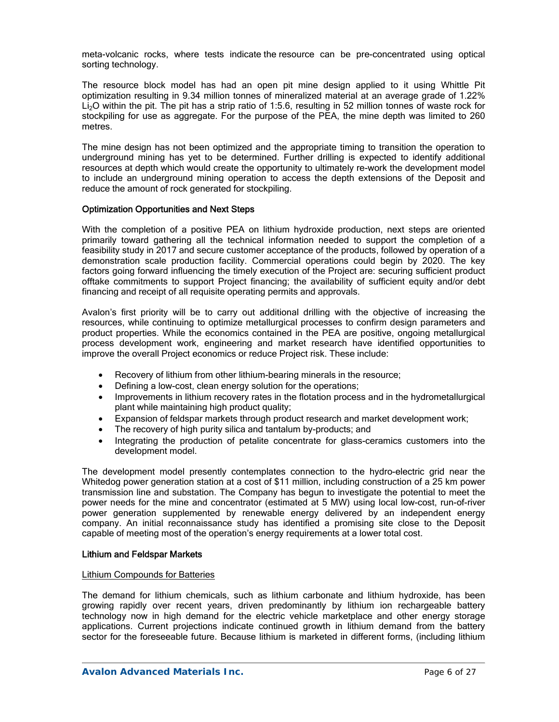meta-volcanic rocks, where tests indicate the resource can be pre-concentrated using optical sorting technology.

The resource block model has had an open pit mine design applied to it using Whittle Pit optimization resulting in 9.34 million tonnes of mineralized material at an average grade of 1.22% Li2O within the pit. The pit has a strip ratio of 1:5.6, resulting in 52 million tonnes of waste rock for stockpiling for use as aggregate. For the purpose of the PEA, the mine depth was limited to 260 metres.

The mine design has not been optimized and the appropriate timing to transition the operation to underground mining has yet to be determined. Further drilling is expected to identify additional resources at depth which would create the opportunity to ultimately re-work the development model to include an underground mining operation to access the depth extensions of the Deposit and reduce the amount of rock generated for stockpiling.

#### Optimization Opportunities and Next Steps

With the completion of a positive PEA on lithium hydroxide production, next steps are oriented primarily toward gathering all the technical information needed to support the completion of a feasibility study in 2017 and secure customer acceptance of the products, followed by operation of a demonstration scale production facility. Commercial operations could begin by 2020. The key factors going forward influencing the timely execution of the Project are: securing sufficient product offtake commitments to support Project financing; the availability of sufficient equity and/or debt financing and receipt of all requisite operating permits and approvals.

Avalon's first priority will be to carry out additional drilling with the objective of increasing the resources, while continuing to optimize metallurgical processes to confirm design parameters and product properties. While the economics contained in the PEA are positive, ongoing metallurgical process development work, engineering and market research have identified opportunities to improve the overall Project economics or reduce Project risk. These include:

- Recovery of lithium from other lithium-bearing minerals in the resource;
- Defining a low-cost, clean energy solution for the operations;
- Improvements in lithium recovery rates in the flotation process and in the hydrometallurgical plant while maintaining high product quality;
- Expansion of feldspar markets through product research and market development work;
- The recovery of high purity silica and tantalum by-products; and
- Integrating the production of petalite concentrate for glass-ceramics customers into the development model.

The development model presently contemplates connection to the hydro-electric grid near the Whitedog power generation station at a cost of \$11 million, including construction of a 25 km power transmission line and substation. The Company has begun to investigate the potential to meet the power needs for the mine and concentrator (estimated at 5 MW) using local low-cost, run-of-river power generation supplemented by renewable energy delivered by an independent energy company. An initial reconnaissance study has identified a promising site close to the Deposit capable of meeting most of the operation's energy requirements at a lower total cost.

#### Lithium and Feldspar Markets

#### Lithium Compounds for Batteries

The demand for lithium chemicals, such as lithium carbonate and lithium hydroxide, has been growing rapidly over recent years, driven predominantly by lithium ion rechargeable battery technology now in high demand for the electric vehicle marketplace and other energy storage applications. Current projections indicate continued growth in lithium demand from the battery sector for the foreseeable future. Because lithium is marketed in different forms, (including lithium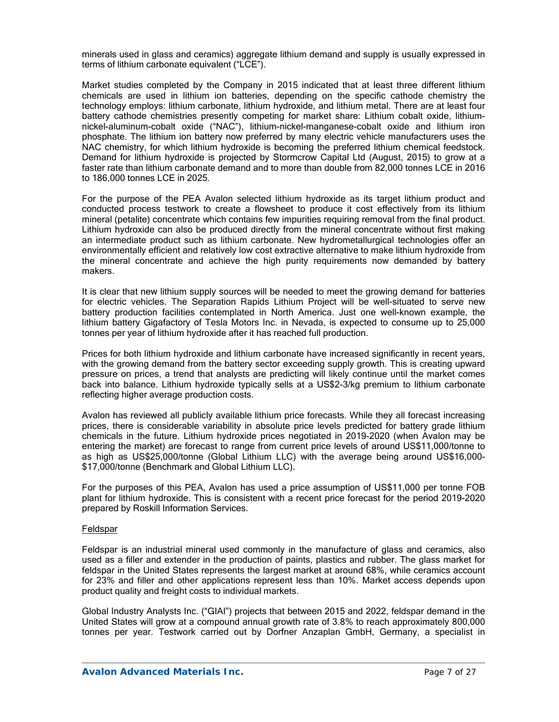minerals used in glass and ceramics) aggregate lithium demand and supply is usually expressed in terms of lithium carbonate equivalent ("LCE").

Market studies completed by the Company in 2015 indicated that at least three different lithium chemicals are used in lithium ion batteries, depending on the specific cathode chemistry the technology employs: lithium carbonate, lithium hydroxide, and lithium metal. There are at least four battery cathode chemistries presently competing for market share: Lithium cobalt oxide, lithiumnickel-aluminum-cobalt oxide ("NAC"), lithium-nickel-manganese-cobalt oxide and lithium iron phosphate. The lithium ion battery now preferred by many electric vehicle manufacturers uses the NAC chemistry, for which lithium hydroxide is becoming the preferred lithium chemical feedstock. Demand for lithium hydroxide is projected by Stormcrow Capital Ltd (August, 2015) to grow at a faster rate than lithium carbonate demand and to more than double from 82,000 tonnes LCE in 2016 to 186,000 tonnes LCE in 2025.

For the purpose of the PEA Avalon selected lithium hydroxide as its target lithium product and conducted process testwork to create a flowsheet to produce it cost effectively from its lithium mineral (petalite) concentrate which contains few impurities requiring removal from the final product. Lithium hydroxide can also be produced directly from the mineral concentrate without first making an intermediate product such as lithium carbonate. New hydrometallurgical technologies offer an environmentally efficient and relatively low cost extractive alternative to make lithium hydroxide from the mineral concentrate and achieve the high purity requirements now demanded by battery makers.

It is clear that new lithium supply sources will be needed to meet the growing demand for batteries for electric vehicles. The Separation Rapids Lithium Project will be well-situated to serve new battery production facilities contemplated in North America. Just one well-known example, the lithium battery Gigafactory of Tesla Motors Inc. in Nevada, is expected to consume up to 25,000 tonnes per year of lithium hydroxide after it has reached full production.

Prices for both lithium hydroxide and lithium carbonate have increased significantly in recent years, with the growing demand from the battery sector exceeding supply growth. This is creating upward pressure on prices, a trend that analysts are predicting will likely continue until the market comes back into balance. Lithium hydroxide typically sells at a US\$2-3/kg premium to lithium carbonate reflecting higher average production costs.

Avalon has reviewed all publicly available lithium price forecasts. While they all forecast increasing prices, there is considerable variability in absolute price levels predicted for battery grade lithium chemicals in the future. Lithium hydroxide prices negotiated in 2019-2020 (when Avalon may be entering the market) are forecast to range from current price levels of around US\$11,000/tonne to as high as US\$25,000/tonne (Global Lithium LLC) with the average being around US\$16,000- \$17,000/tonne (Benchmark and Global Lithium LLC).

For the purposes of this PEA, Avalon has used a price assumption of US\$11,000 per tonne FOB plant for lithium hydroxide. This is consistent with a recent price forecast for the period 2019-2020 prepared by Roskill Information Services.

#### **Feldspar**

Feldspar is an industrial mineral used commonly in the manufacture of glass and ceramics, also used as a filler and extender in the production of paints, plastics and rubber. The glass market for feldspar in the United States represents the largest market at around 68%, while ceramics account for 23% and filler and other applications represent less than 10%. Market access depends upon product quality and freight costs to individual markets.

Global Industry Analysts Inc. ("GIAI") projects that between 2015 and 2022, feldspar demand in the United States will grow at a compound annual growth rate of 3.8% to reach approximately 800,000 tonnes per year. Testwork carried out by Dorfner Anzaplan GmbH, Germany, a specialist in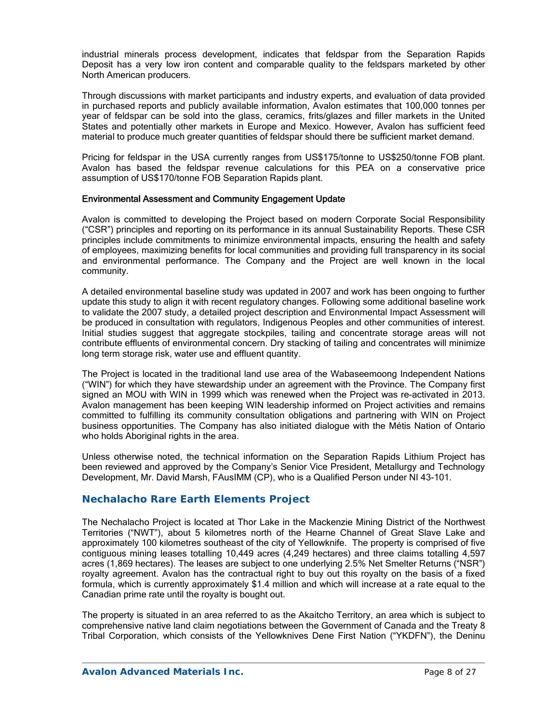industrial minerals process development, indicates that feldspar from the Separation Rapids Deposit has a very low iron content and comparable quality to the feldspars marketed by other North American producers.

Through discussions with market participants and industry experts, and evaluation of data provided in purchased reports and publicly available information, Avalon estimates that 100,000 tonnes per year of feldspar can be sold into the glass, ceramics, frits/glazes and filler markets in the United States and potentially other markets in Europe and Mexico. However, Avalon has sufficient feed material to produce much greater quantities of feldspar should there be sufficient market demand.

Pricing for feldspar in the USA currently ranges from US\$175/tonne to US\$250/tonne FOB plant. Avalon has based the feldspar revenue calculations for this PEA on a conservative price assumption of US\$170/tonne FOB Separation Rapids plant.

### Environmental Assessment and Community Engagement Update

Avalon is committed to developing the Project based on modern Corporate Social Responsibility ("CSR") principles and reporting on its performance in its annual Sustainability Reports. These CSR principles include commitments to minimize environmental impacts, ensuring the health and safety of employees, maximizing benefits for local communities and providing full transparency in its social and environmental performance. The Company and the Project are well known in the local community.

A detailed environmental baseline study was updated in 2007 and work has been ongoing to further update this study to align it with recent regulatory changes. Following some additional baseline work to validate the 2007 study, a detailed project description and Environmental Impact Assessment will be produced in consultation with regulators, Indigenous Peoples and other communities of interest. Initial studies suggest that aggregate stockpiles, tailing and concentrate storage areas will not contribute effluents of environmental concern. Dry stacking of tailing and concentrates will minimize long term storage risk, water use and effluent quantity.

The Project is located in the traditional land use area of the Wabaseemoong Independent Nations ("WIN") for which they have stewardship under an agreement with the Province. The Company first signed an MOU with WIN in 1999 which was renewed when the Project was re-activated in 2013. Avalon management has been keeping WIN leadership informed on Project activities and remains committed to fulfilling its community consultation obligations and partnering with WIN on Project business opportunities. The Company has also initiated dialogue with the Métis Nation of Ontario who holds Aboriginal rights in the area.

Unless otherwise noted, the technical information on the Separation Rapids Lithium Project has been reviewed and approved by the Company's Senior Vice President, Metallurgy and Technology Development, Mr. David Marsh, FAusIMM (CP), who is a Qualified Person under NI 43-101.

### **Nechalacho Rare Earth Elements Project**

The Nechalacho Project is located at Thor Lake in the Mackenzie Mining District of the Northwest Territories ("NWT"), about 5 kilometres north of the Hearne Channel of Great Slave Lake and approximately 100 kilometres southeast of the city of Yellowknife. The property is comprised of five contiguous mining leases totalling 10,449 acres (4,249 hectares) and three claims totalling 4,597 acres (1,869 hectares). The leases are subject to one underlying 2.5% Net Smelter Returns ("NSR") royalty agreement. Avalon has the contractual right to buy out this royalty on the basis of a fixed formula, which is currently approximately \$1.4 million and which will increase at a rate equal to the Canadian prime rate until the royalty is bought out.

The property is situated in an area referred to as the Akaitcho Territory, an area which is subject to comprehensive native land claim negotiations between the Government of Canada and the Treaty 8 Tribal Corporation, which consists of the Yellowknives Dene First Nation ("YKDFN"), the Deninu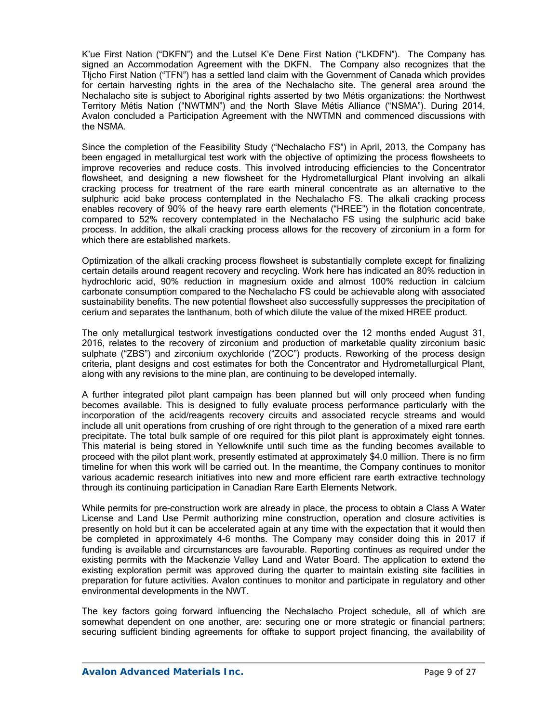K'ue First Nation ("DKFN") and the Lutsel K'e Dene First Nation ("LKDFN"). The Company has signed an Accommodation Agreement with the DKFN. The Company also recognizes that the Tłįcho First Nation ("TFN") has a settled land claim with the Government of Canada which provides for certain harvesting rights in the area of the Nechalacho site. The general area around the Nechalacho site is subject to Aboriginal rights asserted by two Métis organizations: the Northwest Territory Métis Nation ("NWTMN") and the North Slave Métis Alliance ("NSMA"). During 2014, Avalon concluded a Participation Agreement with the NWTMN and commenced discussions with the NSMA.

Since the completion of the Feasibility Study ("Nechalacho FS") in April, 2013, the Company has been engaged in metallurgical test work with the objective of optimizing the process flowsheets to improve recoveries and reduce costs. This involved introducing efficiencies to the Concentrator flowsheet, and designing a new flowsheet for the Hydrometallurgical Plant involving an alkali cracking process for treatment of the rare earth mineral concentrate as an alternative to the sulphuric acid bake process contemplated in the Nechalacho FS. The alkali cracking process enables recovery of 90% of the heavy rare earth elements ("HREE") in the flotation concentrate, compared to 52% recovery contemplated in the Nechalacho FS using the sulphuric acid bake process. In addition, the alkali cracking process allows for the recovery of zirconium in a form for which there are established markets.

Optimization of the alkali cracking process flowsheet is substantially complete except for finalizing certain details around reagent recovery and recycling. Work here has indicated an 80% reduction in hydrochloric acid, 90% reduction in magnesium oxide and almost 100% reduction in calcium carbonate consumption compared to the Nechalacho FS could be achievable along with associated sustainability benefits. The new potential flowsheet also successfully suppresses the precipitation of cerium and separates the lanthanum, both of which dilute the value of the mixed HREE product.

The only metallurgical testwork investigations conducted over the 12 months ended August 31, 2016, relates to the recovery of zirconium and production of marketable quality zirconium basic sulphate ("ZBS") and zirconium oxychloride ("ZOC") products. Reworking of the process design criteria, plant designs and cost estimates for both the Concentrator and Hydrometallurgical Plant, along with any revisions to the mine plan, are continuing to be developed internally.

A further integrated pilot plant campaign has been planned but will only proceed when funding becomes available. This is designed to fully evaluate process performance particularly with the incorporation of the acid/reagents recovery circuits and associated recycle streams and would include all unit operations from crushing of ore right through to the generation of a mixed rare earth precipitate. The total bulk sample of ore required for this pilot plant is approximately eight tonnes. This material is being stored in Yellowknife until such time as the funding becomes available to proceed with the pilot plant work, presently estimated at approximately \$4.0 million. There is no firm timeline for when this work will be carried out. In the meantime, the Company continues to monitor various academic research initiatives into new and more efficient rare earth extractive technology through its continuing participation in Canadian Rare Earth Elements Network.

While permits for pre-construction work are already in place, the process to obtain a Class A Water License and Land Use Permit authorizing mine construction, operation and closure activities is presently on hold but it can be accelerated again at any time with the expectation that it would then be completed in approximately 4-6 months. The Company may consider doing this in 2017 if funding is available and circumstances are favourable. Reporting continues as required under the existing permits with the Mackenzie Valley Land and Water Board. The application to extend the existing exploration permit was approved during the quarter to maintain existing site facilities in preparation for future activities. Avalon continues to monitor and participate in regulatory and other environmental developments in the NWT.

The key factors going forward influencing the Nechalacho Project schedule, all of which are somewhat dependent on one another, are: securing one or more strategic or financial partners; securing sufficient binding agreements for offtake to support project financing, the availability of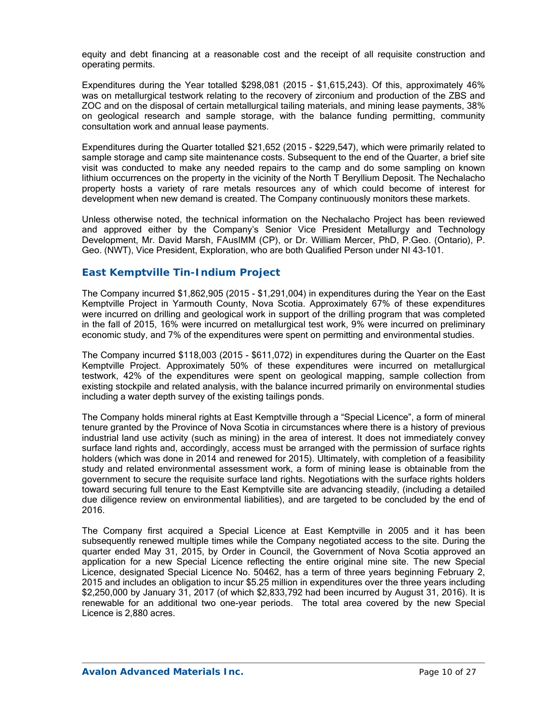equity and debt financing at a reasonable cost and the receipt of all requisite construction and operating permits.

Expenditures during the Year totalled \$298,081 (2015 - \$1,615,243). Of this, approximately 46% was on metallurgical testwork relating to the recovery of zirconium and production of the ZBS and ZOC and on the disposal of certain metallurgical tailing materials, and mining lease payments, 38% on geological research and sample storage, with the balance funding permitting, community consultation work and annual lease payments.

Expenditures during the Quarter totalled \$21,652 (2015 - \$229,547), which were primarily related to sample storage and camp site maintenance costs. Subsequent to the end of the Quarter, a brief site visit was conducted to make any needed repairs to the camp and do some sampling on known lithium occurrences on the property in the vicinity of the North T Beryllium Deposit. The Nechalacho property hosts a variety of rare metals resources any of which could become of interest for development when new demand is created. The Company continuously monitors these markets.

Unless otherwise noted, the technical information on the Nechalacho Project has been reviewed and approved either by the Company's Senior Vice President Metallurgy and Technology Development, Mr. David Marsh, FAusIMM (CP), or Dr. William Mercer, PhD, P.Geo. (Ontario), P. Geo. (NWT), Vice President, Exploration, who are both Qualified Person under NI 43-101.

### *East Kemptville Tin-Indium Project*

The Company incurred \$1,862,905 (2015 - \$1,291,004) in expenditures during the Year on the East Kemptville Project in Yarmouth County, Nova Scotia. Approximately 67% of these expenditures were incurred on drilling and geological work in support of the drilling program that was completed in the fall of 2015, 16% were incurred on metallurgical test work, 9% were incurred on preliminary economic study, and 7% of the expenditures were spent on permitting and environmental studies.

The Company incurred \$118,003 (2015 - \$611,072) in expenditures during the Quarter on the East Kemptville Project. Approximately 50% of these expenditures were incurred on metallurgical testwork, 42% of the expenditures were spent on geological mapping, sample collection from existing stockpile and related analysis, with the balance incurred primarily on environmental studies including a water depth survey of the existing tailings ponds.

The Company holds mineral rights at East Kemptville through a "Special Licence", a form of mineral tenure granted by the Province of Nova Scotia in circumstances where there is a history of previous industrial land use activity (such as mining) in the area of interest. It does not immediately convey surface land rights and, accordingly, access must be arranged with the permission of surface rights holders (which was done in 2014 and renewed for 2015). Ultimately, with completion of a feasibility study and related environmental assessment work, a form of mining lease is obtainable from the government to secure the requisite surface land rights. Negotiations with the surface rights holders toward securing full tenure to the East Kemptville site are advancing steadily, (including a detailed due diligence review on environmental liabilities), and are targeted to be concluded by the end of 2016.

The Company first acquired a Special Licence at East Kemptville in 2005 and it has been subsequently renewed multiple times while the Company negotiated access to the site. During the quarter ended May 31, 2015, by Order in Council, the Government of Nova Scotia approved an application for a new Special Licence reflecting the entire original mine site. The new Special Licence, designated Special Licence No. 50462, has a term of three years beginning February 2, 2015 and includes an obligation to incur \$5.25 million in expenditures over the three years including \$2,250,000 by January 31, 2017 (of which \$2,833,792 had been incurred by August 31, 2016). It is renewable for an additional two one-year periods. The total area covered by the new Special Licence is 2,880 acres.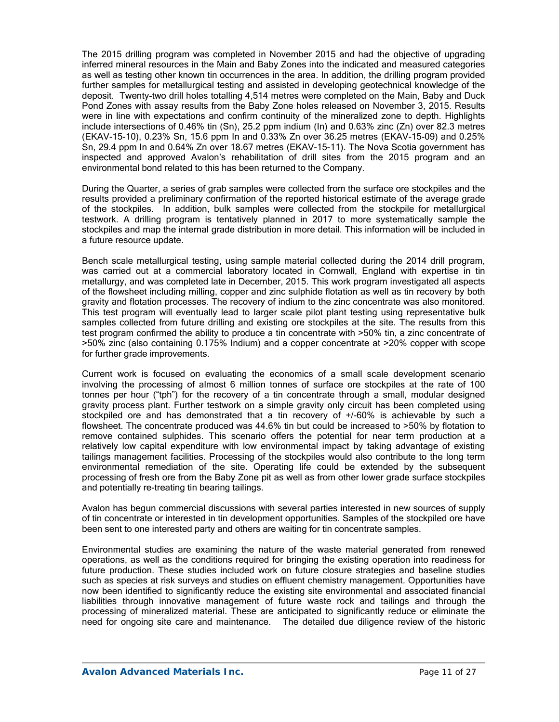The 2015 drilling program was completed in November 2015 and had the objective of upgrading inferred mineral resources in the Main and Baby Zones into the indicated and measured categories as well as testing other known tin occurrences in the area. In addition, the drilling program provided further samples for metallurgical testing and assisted in developing geotechnical knowledge of the deposit. Twenty-two drill holes totalling 4,514 metres were completed on the Main, Baby and Duck Pond Zones with assay results from the Baby Zone holes released on November 3, 2015. Results were in line with expectations and confirm continuity of the mineralized zone to depth. Highlights include intersections of 0.46% tin (Sn), 25.2 ppm indium (In) and 0.63% zinc (Zn) over 82.3 metres (EKAV-15-10), 0.23% Sn, 15.6 ppm In and 0.33% Zn over 36.25 metres (EKAV-15-09) and 0.25% Sn, 29.4 ppm In and 0.64% Zn over 18.67 metres (EKAV-15-11). The Nova Scotia government has inspected and approved Avalon's rehabilitation of drill sites from the 2015 program and an environmental bond related to this has been returned to the Company.

During the Quarter, a series of grab samples were collected from the surface ore stockpiles and the results provided a preliminary confirmation of the reported historical estimate of the average grade of the stockpiles. In addition, bulk samples were collected from the stockpile for metallurgical testwork. A drilling program is tentatively planned in 2017 to more systematically sample the stockpiles and map the internal grade distribution in more detail. This information will be included in a future resource update.

Bench scale metallurgical testing, using sample material collected during the 2014 drill program, was carried out at a commercial laboratory located in Cornwall, England with expertise in tin metallurgy, and was completed late in December, 2015. This work program investigated all aspects of the flowsheet including milling, copper and zinc sulphide flotation as well as tin recovery by both gravity and flotation processes. The recovery of indium to the zinc concentrate was also monitored. This test program will eventually lead to larger scale pilot plant testing using representative bulk samples collected from future drilling and existing ore stockpiles at the site. The results from this test program confirmed the ability to produce a tin concentrate with >50% tin, a zinc concentrate of >50% zinc (also containing 0.175% Indium) and a copper concentrate at >20% copper with scope for further grade improvements.

Current work is focused on evaluating the economics of a small scale development scenario involving the processing of almost 6 million tonnes of surface ore stockpiles at the rate of 100 tonnes per hour ("tph") for the recovery of a tin concentrate through a small, modular designed gravity process plant. Further testwork on a simple gravity only circuit has been completed using stockpiled ore and has demonstrated that a tin recovery of +/-60% is achievable by such a flowsheet. The concentrate produced was 44.6% tin but could be increased to >50% by flotation to remove contained sulphides. This scenario offers the potential for near term production at a relatively low capital expenditure with low environmental impact by taking advantage of existing tailings management facilities. Processing of the stockpiles would also contribute to the long term environmental remediation of the site. Operating life could be extended by the subsequent processing of fresh ore from the Baby Zone pit as well as from other lower grade surface stockpiles and potentially re-treating tin bearing tailings.

Avalon has begun commercial discussions with several parties interested in new sources of supply of tin concentrate or interested in tin development opportunities. Samples of the stockpiled ore have been sent to one interested party and others are waiting for tin concentrate samples.

Environmental studies are examining the nature of the waste material generated from renewed operations, as well as the conditions required for bringing the existing operation into readiness for future production. These studies included work on future closure strategies and baseline studies such as species at risk surveys and studies on effluent chemistry management. Opportunities have now been identified to significantly reduce the existing site environmental and associated financial liabilities through innovative management of future waste rock and tailings and through the processing of mineralized material. These are anticipated to significantly reduce or eliminate the need for ongoing site care and maintenance. The detailed due diligence review of the historic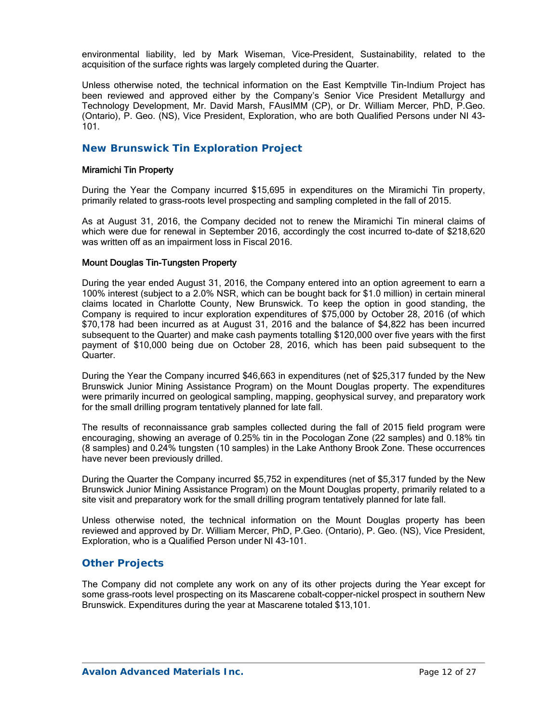environmental liability, led by Mark Wiseman, Vice-President, Sustainability, related to the acquisition of the surface rights was largely completed during the Quarter.

Unless otherwise noted, the technical information on the East Kemptville Tin-Indium Project has been reviewed and approved either by the Company's Senior Vice President Metallurgy and Technology Development, Mr. David Marsh, FAusIMM (CP), or Dr. William Mercer, PhD, P.Geo. (Ontario), P. Geo. (NS), Vice President, Exploration, who are both Qualified Persons under NI 43- 101.

### *New Brunswick Tin Exploration Project*

#### Miramichi Tin Property

During the Year the Company incurred \$15,695 in expenditures on the Miramichi Tin property, primarily related to grass-roots level prospecting and sampling completed in the fall of 2015.

As at August 31, 2016, the Company decided not to renew the Miramichi Tin mineral claims of which were due for renewal in September 2016, accordingly the cost incurred to-date of \$218,620 was written off as an impairment loss in Fiscal 2016.

#### Mount Douglas Tin-Tungsten Property

During the year ended August 31, 2016, the Company entered into an option agreement to earn a 100% interest (subject to a 2.0% NSR, which can be bought back for \$1.0 million) in certain mineral claims located in Charlotte County, New Brunswick. To keep the option in good standing, the Company is required to incur exploration expenditures of \$75,000 by October 28, 2016 (of which \$70,178 had been incurred as at August 31, 2016 and the balance of \$4,822 has been incurred subsequent to the Quarter) and make cash payments totalling \$120,000 over five years with the first payment of \$10,000 being due on October 28, 2016, which has been paid subsequent to the Quarter.

During the Year the Company incurred \$46,663 in expenditures (net of \$25,317 funded by the New Brunswick Junior Mining Assistance Program) on the Mount Douglas property. The expenditures were primarily incurred on geological sampling, mapping, geophysical survey, and preparatory work for the small drilling program tentatively planned for late fall.

The results of reconnaissance grab samples collected during the fall of 2015 field program were encouraging, showing an average of 0.25% tin in the Pocologan Zone (22 samples) and 0.18% tin (8 samples) and 0.24% tungsten (10 samples) in the Lake Anthony Brook Zone. These occurrences have never been previously drilled.

During the Quarter the Company incurred \$5,752 in expenditures (net of \$5,317 funded by the New Brunswick Junior Mining Assistance Program) on the Mount Douglas property, primarily related to a site visit and preparatory work for the small drilling program tentatively planned for late fall.

Unless otherwise noted, the technical information on the Mount Douglas property has been reviewed and approved by Dr. William Mercer, PhD, P.Geo. (Ontario), P. Geo. (NS), Vice President, Exploration, who is a Qualified Person under NI 43-101.

### *Other Projects*

The Company did not complete any work on any of its other projects during the Year except for some grass-roots level prospecting on its Mascarene cobalt-copper-nickel prospect in southern New Brunswick. Expenditures during the year at Mascarene totaled \$13,101.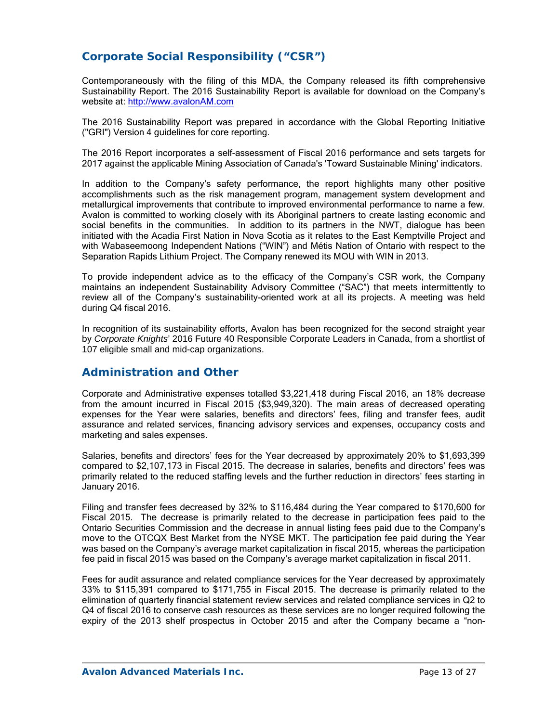# **Corporate Social Responsibility ("CSR")**

Contemporaneously with the filing of this MDA, the Company released its fifth comprehensive Sustainability Report. The 2016 Sustainability Report is available for download on the Company's website at: http://www.avalonAM.com

The 2016 Sustainability Report was prepared in accordance with the Global Reporting Initiative ("GRI") Version 4 guidelines for core reporting.

The 2016 Report incorporates a self-assessment of Fiscal 2016 performance and sets targets for 2017 against the applicable Mining Association of Canada's 'Toward Sustainable Mining' indicators.

In addition to the Company's safety performance, the report highlights many other positive accomplishments such as the risk management program, management system development and metallurgical improvements that contribute to improved environmental performance to name a few. Avalon is committed to working closely with its Aboriginal partners to create lasting economic and social benefits in the communities. In addition to its partners in the NWT, dialogue has been initiated with the Acadia First Nation in Nova Scotia as it relates to the East Kemptville Project and with Wabaseemoong Independent Nations ("WIN") and Métis Nation of Ontario with respect to the Separation Rapids Lithium Project. The Company renewed its MOU with WIN in 2013.

To provide independent advice as to the efficacy of the Company's CSR work, the Company maintains an independent Sustainability Advisory Committee ("SAC") that meets intermittently to review all of the Company's sustainability-oriented work at all its projects. A meeting was held during Q4 fiscal 2016.

In recognition of its sustainability efforts, Avalon has been recognized for the second straight year by *Corporate Knights*' 2016 Future 40 Responsible Corporate Leaders in Canada, from a shortlist of 107 eligible small and mid-cap organizations.

### **Administration and Other**

Corporate and Administrative expenses totalled \$3,221,418 during Fiscal 2016, an 18% decrease from the amount incurred in Fiscal 2015 (\$3,949,320). The main areas of decreased operating expenses for the Year were salaries, benefits and directors' fees, filing and transfer fees, audit assurance and related services, financing advisory services and expenses, occupancy costs and marketing and sales expenses.

Salaries, benefits and directors' fees for the Year decreased by approximately 20% to \$1,693,399 compared to \$2,107,173 in Fiscal 2015. The decrease in salaries, benefits and directors' fees was primarily related to the reduced staffing levels and the further reduction in directors' fees starting in January 2016.

Filing and transfer fees decreased by 32% to \$116,484 during the Year compared to \$170,600 for Fiscal 2015. The decrease is primarily related to the decrease in participation fees paid to the Ontario Securities Commission and the decrease in annual listing fees paid due to the Company's move to the OTCQX Best Market from the NYSE MKT. The participation fee paid during the Year was based on the Company's average market capitalization in fiscal 2015, whereas the participation fee paid in fiscal 2015 was based on the Company's average market capitalization in fiscal 2011.

Fees for audit assurance and related compliance services for the Year decreased by approximately 33% to \$115,391 compared to \$171,755 in Fiscal 2015. The decrease is primarily related to the elimination of quarterly financial statement review services and related compliance services in Q2 to Q4 of fiscal 2016 to conserve cash resources as these services are no longer required following the expiry of the 2013 shelf prospectus in October 2015 and after the Company became a "non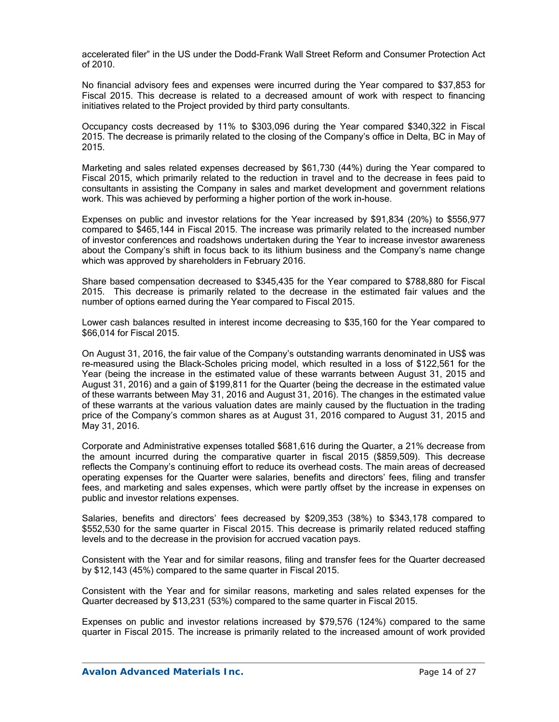accelerated filer" in the US under the Dodd-Frank Wall Street Reform and Consumer Protection Act of 2010.

No financial advisory fees and expenses were incurred during the Year compared to \$37,853 for Fiscal 2015. This decrease is related to a decreased amount of work with respect to financing initiatives related to the Project provided by third party consultants.

Occupancy costs decreased by 11% to \$303,096 during the Year compared \$340,322 in Fiscal 2015. The decrease is primarily related to the closing of the Company's office in Delta, BC in May of 2015.

Marketing and sales related expenses decreased by \$61,730 (44%) during the Year compared to Fiscal 2015, which primarily related to the reduction in travel and to the decrease in fees paid to consultants in assisting the Company in sales and market development and government relations work. This was achieved by performing a higher portion of the work in-house.

Expenses on public and investor relations for the Year increased by \$91,834 (20%) to \$556,977 compared to \$465,144 in Fiscal 2015. The increase was primarily related to the increased number of investor conferences and roadshows undertaken during the Year to increase investor awareness about the Company's shift in focus back to its lithium business and the Company's name change which was approved by shareholders in February 2016.

Share based compensation decreased to \$345,435 for the Year compared to \$788,880 for Fiscal 2015. This decrease is primarily related to the decrease in the estimated fair values and the number of options earned during the Year compared to Fiscal 2015.

Lower cash balances resulted in interest income decreasing to \$35,160 for the Year compared to \$66,014 for Fiscal 2015.

On August 31, 2016, the fair value of the Company's outstanding warrants denominated in US\$ was re-measured using the Black-Scholes pricing model, which resulted in a loss of \$122,561 for the Year (being the increase in the estimated value of these warrants between August 31, 2015 and August 31, 2016) and a gain of \$199,811 for the Quarter (being the decrease in the estimated value of these warrants between May 31, 2016 and August 31, 2016). The changes in the estimated value of these warrants at the various valuation dates are mainly caused by the fluctuation in the trading price of the Company's common shares as at August 31, 2016 compared to August 31, 2015 and May 31, 2016.

Corporate and Administrative expenses totalled \$681,616 during the Quarter, a 21% decrease from the amount incurred during the comparative quarter in fiscal 2015 (\$859,509). This decrease reflects the Company's continuing effort to reduce its overhead costs. The main areas of decreased operating expenses for the Quarter were salaries, benefits and directors' fees, filing and transfer fees, and marketing and sales expenses, which were partly offset by the increase in expenses on public and investor relations expenses.

Salaries, benefits and directors' fees decreased by \$209,353 (38%) to \$343,178 compared to \$552,530 for the same quarter in Fiscal 2015. This decrease is primarily related reduced staffing levels and to the decrease in the provision for accrued vacation pays.

Consistent with the Year and for similar reasons, filing and transfer fees for the Quarter decreased by \$12,143 (45%) compared to the same quarter in Fiscal 2015.

Consistent with the Year and for similar reasons, marketing and sales related expenses for the Quarter decreased by \$13,231 (53%) compared to the same quarter in Fiscal 2015.

Expenses on public and investor relations increased by \$79,576 (124%) compared to the same quarter in Fiscal 2015. The increase is primarily related to the increased amount of work provided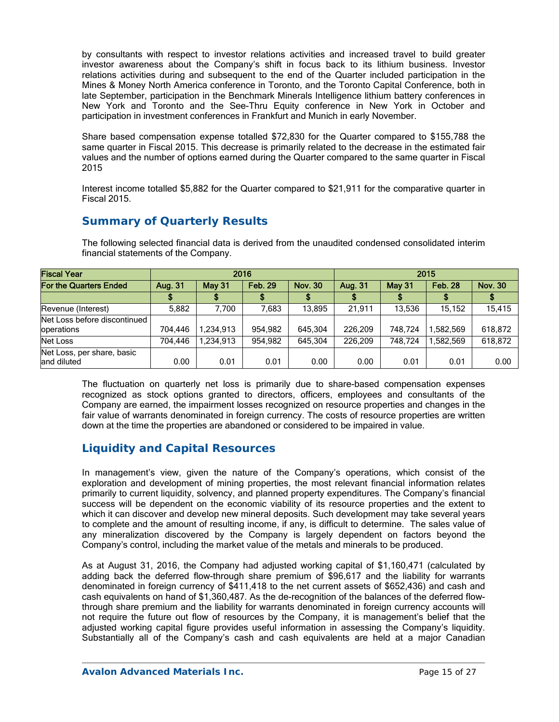by consultants with respect to investor relations activities and increased travel to build greater investor awareness about the Company's shift in focus back to its lithium business. Investor relations activities during and subsequent to the end of the Quarter included participation in the Mines & Money North America conference in Toronto, and the Toronto Capital Conference, both in late September, participation in the Benchmark Minerals Intelligence lithium battery conferences in New York and Toronto and the See-Thru Equity conference in New York in October and participation in investment conferences in Frankfurt and Munich in early November.

Share based compensation expense totalled \$72,830 for the Quarter compared to \$155,788 the same quarter in Fiscal 2015. This decrease is primarily related to the decrease in the estimated fair values and the number of options earned during the Quarter compared to the same quarter in Fiscal 2015

Interest income totalled \$5,882 for the Quarter compared to \$21,911 for the comparative quarter in Fiscal 2015.

## **Summary of Quarterly Results**

The following selected financial data is derived from the unaudited condensed consolidated interim financial statements of the Company.

| <b>Fiscal Year</b>                         | 2016    |               |                |                | 2015    |         |                |                |  |
|--------------------------------------------|---------|---------------|----------------|----------------|---------|---------|----------------|----------------|--|
| <b>For the Quarters Ended</b>              | Aug. 31 | <b>May 31</b> | <b>Feb. 29</b> | <b>Nov. 30</b> | Aug. 31 | May 31  | <b>Feb. 28</b> | <b>Nov. 30</b> |  |
|                                            |         |               |                |                |         |         |                |                |  |
| Revenue (Interest)                         | 5,882   | 7.700         | 7,683          | 13.895         | 21,911  | 13,536  | 15.152         | 15,415         |  |
| Net Loss before discontinued<br>operations | 704.446 | 1,234,913     | 954,982        | 645.304        | 226.209 | 748.724 | ,582,569       | 618,872        |  |
| Net Loss                                   | 704,446 | ,234,913      | 954,982        | 645.304        | 226.209 | 748.724 | 1.582.569      | 618,872        |  |
| Net Loss, per share, basic<br>land diluted | 0.00    | 0.01          | 0.01           | 0.00           | 0.00    | 0.01    | 0.01           | 0.00           |  |

The fluctuation on quarterly net loss is primarily due to share-based compensation expenses recognized as stock options granted to directors, officers, employees and consultants of the Company are earned, the impairment losses recognized on resource properties and changes in the fair value of warrants denominated in foreign currency. The costs of resource properties are written down at the time the properties are abandoned or considered to be impaired in value.

## **Liquidity and Capital Resources**

In management's view, given the nature of the Company's operations, which consist of the exploration and development of mining properties, the most relevant financial information relates primarily to current liquidity, solvency, and planned property expenditures. The Company's financial success will be dependent on the economic viability of its resource properties and the extent to which it can discover and develop new mineral deposits. Such development may take several years to complete and the amount of resulting income, if any, is difficult to determine. The sales value of any mineralization discovered by the Company is largely dependent on factors beyond the Company's control, including the market value of the metals and minerals to be produced.

As at August 31, 2016, the Company had adjusted working capital of \$1,160,471 (calculated by adding back the deferred flow-through share premium of \$96,617 and the liability for warrants denominated in foreign currency of \$411,418 to the net current assets of \$652,436) and cash and cash equivalents on hand of \$1,360,487. As the de-recognition of the balances of the deferred flowthrough share premium and the liability for warrants denominated in foreign currency accounts will not require the future out flow of resources by the Company, it is management's belief that the adjusted working capital figure provides useful information in assessing the Company's liquidity. Substantially all of the Company's cash and cash equivalents are held at a major Canadian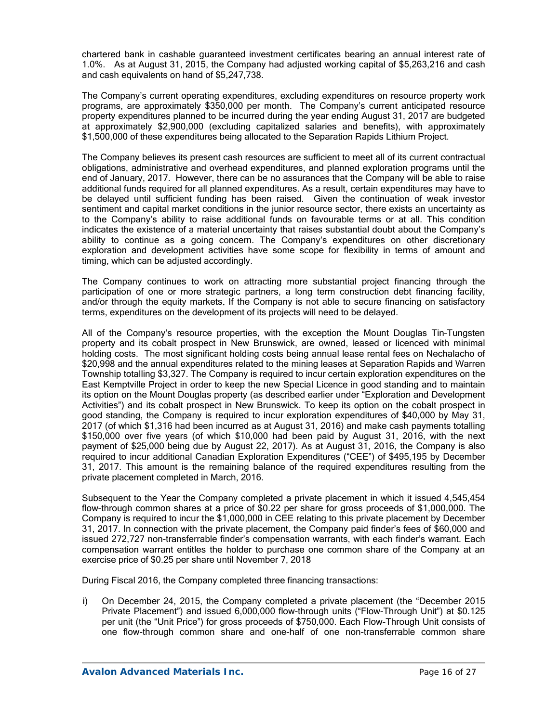chartered bank in cashable guaranteed investment certificates bearing an annual interest rate of 1.0%. As at August 31, 2015, the Company had adjusted working capital of \$5,263,216 and cash and cash equivalents on hand of \$5,247,738.

The Company's current operating expenditures, excluding expenditures on resource property work programs, are approximately \$350,000 per month. The Company's current anticipated resource property expenditures planned to be incurred during the year ending August 31, 2017 are budgeted at approximately \$2,900,000 (excluding capitalized salaries and benefits), with approximately \$1,500,000 of these expenditures being allocated to the Separation Rapids Lithium Project.

The Company believes its present cash resources are sufficient to meet all of its current contractual obligations, administrative and overhead expenditures, and planned exploration programs until the end of January, 2017. However, there can be no assurances that the Company will be able to raise additional funds required for all planned expenditures. As a result, certain expenditures may have to be delayed until sufficient funding has been raised. Given the continuation of weak investor sentiment and capital market conditions in the junior resource sector, there exists an uncertainty as to the Company's ability to raise additional funds on favourable terms or at all. This condition indicates the existence of a material uncertainty that raises substantial doubt about the Company's ability to continue as a going concern. The Company's expenditures on other discretionary exploration and development activities have some scope for flexibility in terms of amount and timing, which can be adjusted accordingly.

The Company continues to work on attracting more substantial project financing through the participation of one or more strategic partners, a long term construction debt financing facility, and/or through the equity markets. If the Company is not able to secure financing on satisfactory terms, expenditures on the development of its projects will need to be delayed.

All of the Company's resource properties, with the exception the Mount Douglas Tin–Tungsten property and its cobalt prospect in New Brunswick, are owned, leased or licenced with minimal holding costs. The most significant holding costs being annual lease rental fees on Nechalacho of \$20,998 and the annual expenditures related to the mining leases at Separation Rapids and Warren Township totalling \$3,327. The Company is required to incur certain exploration expenditures on the East Kemptville Project in order to keep the new Special Licence in good standing and to maintain its option on the Mount Douglas property (as described earlier under "Exploration and Development Activities") and its cobalt prospect in New Brunswick. To keep its option on the cobalt prospect in good standing, the Company is required to incur exploration expenditures of \$40,000 by May 31, 2017 (of which \$1,316 had been incurred as at August 31, 2016) and make cash payments totalling \$150,000 over five years (of which \$10,000 had been paid by August 31, 2016, with the next payment of \$25,000 being due by August 22, 2017). As at August 31, 2016, the Company is also required to incur additional Canadian Exploration Expenditures ("CEE") of \$495,195 by December 31, 2017. This amount is the remaining balance of the required expenditures resulting from the private placement completed in March, 2016.

Subsequent to the Year the Company completed a private placement in which it issued 4,545,454 flow-through common shares at a price of \$0.22 per share for gross proceeds of \$1,000,000. The Company is required to incur the \$1,000,000 in CEE relating to this private placement by December 31, 2017. In connection with the private placement, the Company paid finder's fees of \$60,000 and issued 272,727 non-transferrable finder's compensation warrants, with each finder's warrant. Each compensation warrant entitles the holder to purchase one common share of the Company at an exercise price of \$0.25 per share until November 7, 2018

During Fiscal 2016, the Company completed three financing transactions:

i) On December 24, 2015, the Company completed a private placement (the "December 2015 Private Placement") and issued 6,000,000 flow-through units ("Flow-Through Unit") at \$0.125 per unit (the "Unit Price") for gross proceeds of \$750,000. Each Flow-Through Unit consists of one flow-through common share and one-half of one non-transferrable common share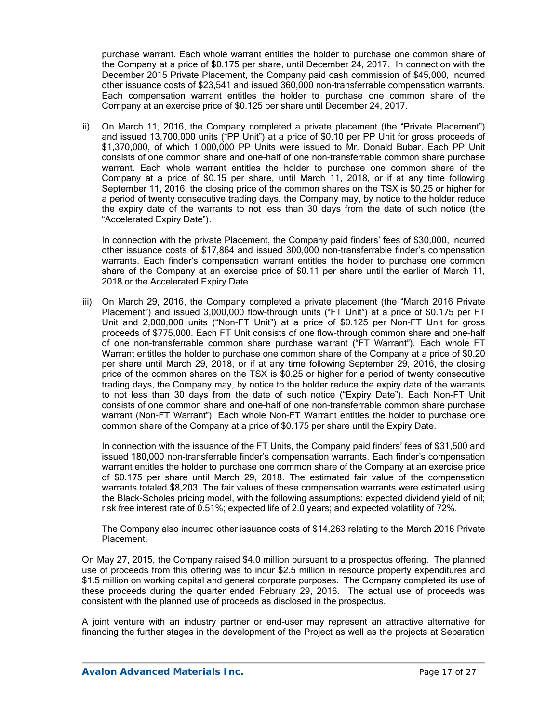purchase warrant. Each whole warrant entitles the holder to purchase one common share of the Company at a price of \$0.175 per share, until December 24, 2017. In connection with the December 2015 Private Placement, the Company paid cash commission of \$45,000, incurred other issuance costs of \$23,541 and issued 360,000 non-transferrable compensation warrants. Each compensation warrant entitles the holder to purchase one common share of the Company at an exercise price of \$0.125 per share until December 24, 2017.

ii) On March 11, 2016, the Company completed a private placement (the "Private Placement") and issued 13,700,000 units ("PP Unit") at a price of \$0.10 per PP Unit for gross proceeds of \$1,370,000, of which 1,000,000 PP Units were issued to Mr. Donald Bubar. Each PP Unit consists of one common share and one-half of one non-transferrable common share purchase warrant. Each whole warrant entitles the holder to purchase one common share of the Company at a price of \$0.15 per share, until March 11, 2018, or if at any time following September 11, 2016, the closing price of the common shares on the TSX is \$0.25 or higher for a period of twenty consecutive trading days, the Company may, by notice to the holder reduce the expiry date of the warrants to not less than 30 days from the date of such notice (the "Accelerated Expiry Date").

In connection with the private Placement, the Company paid finders' fees of \$30,000, incurred other issuance costs of \$17,864 and issued 300,000 non-transferrable finder's compensation warrants. Each finder's compensation warrant entitles the holder to purchase one common share of the Company at an exercise price of \$0.11 per share until the earlier of March 11, 2018 or the Accelerated Expiry Date

iii) On March 29, 2016, the Company completed a private placement (the "March 2016 Private Placement") and issued 3,000,000 flow-through units ("FT Unit") at a price of \$0.175 per FT Unit and 2,000,000 units ("Non-FT Unit") at a price of \$0.125 per Non-FT Unit for gross proceeds of \$775,000. Each FT Unit consists of one flow-through common share and one-half of one non-transferrable common share purchase warrant ("FT Warrant"). Each whole FT Warrant entitles the holder to purchase one common share of the Company at a price of \$0.20 per share until March 29, 2018, or if at any time following September 29, 2016, the closing price of the common shares on the TSX is \$0.25 or higher for a period of twenty consecutive trading days, the Company may, by notice to the holder reduce the expiry date of the warrants to not less than 30 days from the date of such notice ("Expiry Date"). Each Non-FT Unit consists of one common share and one-half of one non-transferrable common share purchase warrant (Non-FT Warrant"). Each whole Non-FT Warrant entitles the holder to purchase one common share of the Company at a price of \$0.175 per share until the Expiry Date.

In connection with the issuance of the FT Units, the Company paid finders' fees of \$31,500 and issued 180,000 non-transferrable finder's compensation warrants. Each finder's compensation warrant entitles the holder to purchase one common share of the Company at an exercise price of \$0.175 per share until March 29, 2018. The estimated fair value of the compensation warrants totaled \$8,203. The fair values of these compensation warrants were estimated using the Black-Scholes pricing model, with the following assumptions: expected dividend yield of nil; risk free interest rate of 0.51%; expected life of 2.0 years; and expected volatility of 72%.

The Company also incurred other issuance costs of \$14,263 relating to the March 2016 Private Placement.

On May 27, 2015, the Company raised \$4.0 million pursuant to a prospectus offering. The planned use of proceeds from this offering was to incur \$2.5 million in resource property expenditures and \$1.5 million on working capital and general corporate purposes. The Company completed its use of these proceeds during the quarter ended February 29, 2016. The actual use of proceeds was consistent with the planned use of proceeds as disclosed in the prospectus.

A joint venture with an industry partner or end-user may represent an attractive alternative for financing the further stages in the development of the Project as well as the projects at Separation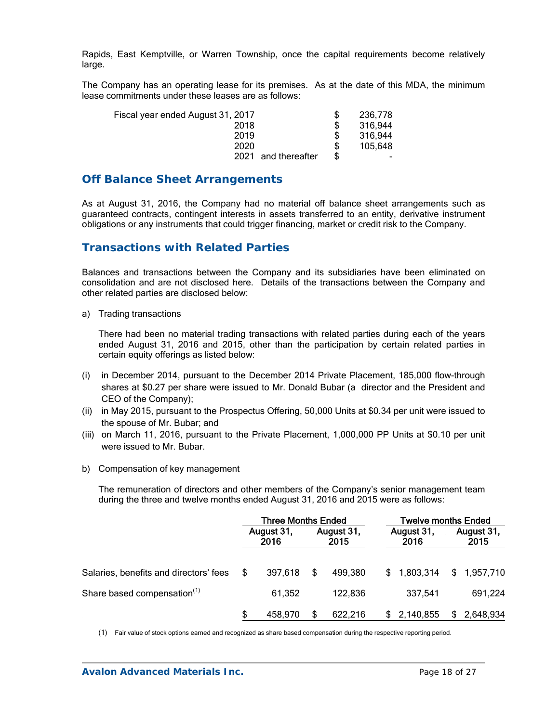Rapids, East Kemptville, or Warren Township, once the capital requirements become relatively large.

The Company has an operating lease for its premises. As at the date of this MDA, the minimum lease commitments under these leases are as follows:

| Fiscal year ended August 31, 2017 | 236.778                  |
|-----------------------------------|--------------------------|
| 2018                              | 316,944                  |
| 2019                              | 316,944                  |
| 2020                              | 105,648                  |
| 2021<br>and thereafter            | $\overline{\phantom{0}}$ |

### **Off Balance Sheet Arrangements**

As at August 31, 2016, the Company had no material off balance sheet arrangements such as guaranteed contracts, contingent interests in assets transferred to an entity, derivative instrument obligations or any instruments that could trigger financing, market or credit risk to the Company.

## **Transactions with Related Parties**

Balances and transactions between the Company and its subsidiaries have been eliminated on consolidation and are not disclosed here. Details of the transactions between the Company and other related parties are disclosed below:

a) Trading transactions

There had been no material trading transactions with related parties during each of the years ended August 31, 2016 and 2015, other than the participation by certain related parties in certain equity offerings as listed below:

- (i) in December 2014, pursuant to the December 2014 Private Placement, 185,000 flow-through shares at \$0.27 per share were issued to Mr. Donald Bubar (a director and the President and CEO of the Company);
- (ii) in May 2015, pursuant to the Prospectus Offering, 50,000 Units at \$0.34 per unit were issued to the spouse of Mr. Bubar; and
- (iii) on March 11, 2016, pursuant to the Private Placement, 1,000,000 PP Units at \$0.10 per unit were issued to Mr. Bubar.
- b) Compensation of key management

The remuneration of directors and other members of the Company's senior management team during the three and twelve months ended August 31, 2016 and 2015 were as follows:

|                                         | <b>Three Months Ended</b> |         |                    |         | <b>Twelve months Ended</b> |             |                    |           |  |
|-----------------------------------------|---------------------------|---------|--------------------|---------|----------------------------|-------------|--------------------|-----------|--|
|                                         | August 31,<br>2016        |         | August 31,<br>2015 |         | August 31,<br>2016         |             | August 31,<br>2015 |           |  |
| Salaries, benefits and directors' fees  | S                         | 397,618 | S                  | 499.380 | S.                         | 1,803,314   | \$                 | 1,957,710 |  |
| Share based compensation <sup>(1)</sup> |                           | 61,352  |                    | 122,836 |                            | 337,541     |                    | 691,224   |  |
|                                         |                           | 458.970 |                    | 622,216 |                            | \$2,140,855 |                    | 2,648,934 |  |

(1) Fair value of stock options earned and recognized as share based compensation during the respective reporting period.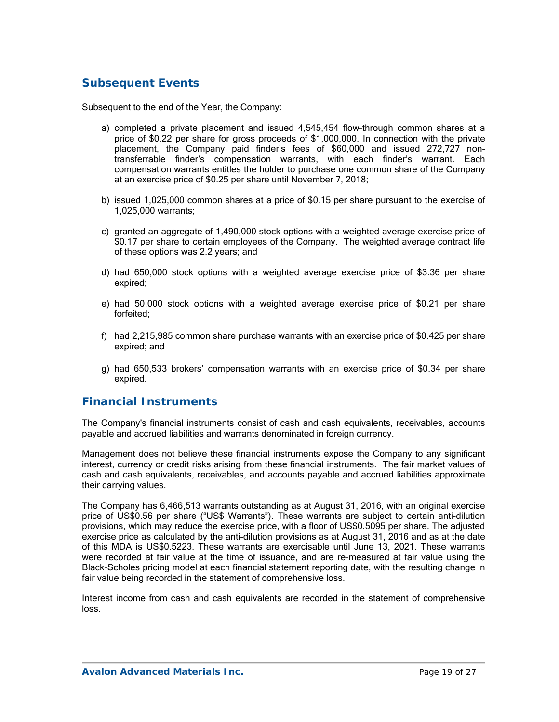# **Subsequent Events**

Subsequent to the end of the Year, the Company:

- a) completed a private placement and issued 4,545,454 flow-through common shares at a price of \$0.22 per share for gross proceeds of \$1,000,000. In connection with the private placement, the Company paid finder's fees of \$60,000 and issued 272,727 nontransferrable finder's compensation warrants, with each finder's warrant. Each compensation warrants entitles the holder to purchase one common share of the Company at an exercise price of \$0.25 per share until November 7, 2018;
- b) issued 1,025,000 common shares at a price of \$0.15 per share pursuant to the exercise of 1,025,000 warrants;
- c) granted an aggregate of 1,490,000 stock options with a weighted average exercise price of \$0.17 per share to certain employees of the Company. The weighted average contract life of these options was 2.2 years; and
- d) had 650,000 stock options with a weighted average exercise price of \$3.36 per share expired;
- e) had 50,000 stock options with a weighted average exercise price of \$0.21 per share forfeited;
- f) had 2,215,985 common share purchase warrants with an exercise price of \$0.425 per share expired; and
- g) had 650,533 brokers' compensation warrants with an exercise price of \$0.34 per share expired.

### **Financial Instruments**

The Company's financial instruments consist of cash and cash equivalents, receivables, accounts payable and accrued liabilities and warrants denominated in foreign currency.

Management does not believe these financial instruments expose the Company to any significant interest, currency or credit risks arising from these financial instruments. The fair market values of cash and cash equivalents, receivables, and accounts payable and accrued liabilities approximate their carrying values.

The Company has 6,466,513 warrants outstanding as at August 31, 2016, with an original exercise price of US\$0.56 per share ("US\$ Warrants"). These warrants are subject to certain anti-dilution provisions, which may reduce the exercise price, with a floor of US\$0.5095 per share. The adjusted exercise price as calculated by the anti-dilution provisions as at August 31, 2016 and as at the date of this MDA is US\$0.5223. These warrants are exercisable until June 13, 2021. These warrants were recorded at fair value at the time of issuance, and are re-measured at fair value using the Black-Scholes pricing model at each financial statement reporting date, with the resulting change in fair value being recorded in the statement of comprehensive loss.

Interest income from cash and cash equivalents are recorded in the statement of comprehensive loss.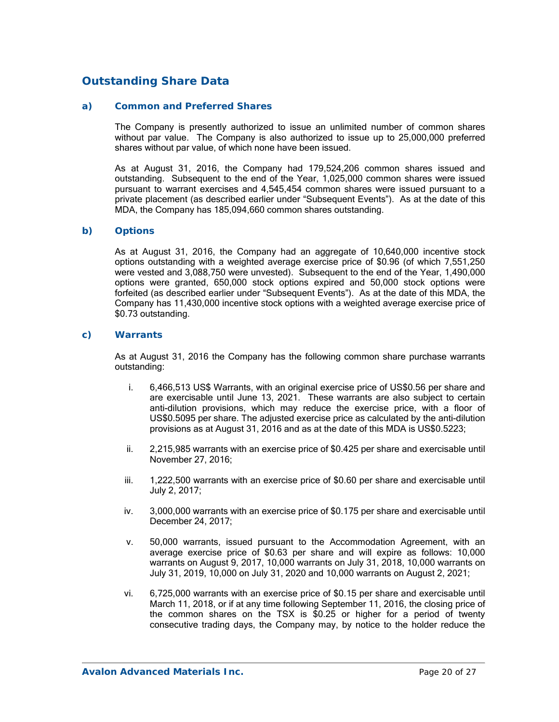## **Outstanding Share Data**

#### *a) Common and Preferred Shares*

The Company is presently authorized to issue an unlimited number of common shares without par value. The Company is also authorized to issue up to 25,000,000 preferred shares without par value, of which none have been issued.

As at August 31, 2016, the Company had 179,524,206 common shares issued and outstanding. Subsequent to the end of the Year, 1,025,000 common shares were issued pursuant to warrant exercises and 4,545,454 common shares were issued pursuant to a private placement (as described earlier under "Subsequent Events"). As at the date of this MDA, the Company has 185,094,660 common shares outstanding.

#### *b) Options*

As at August 31, 2016, the Company had an aggregate of 10,640,000 incentive stock options outstanding with a weighted average exercise price of \$0.96 (of which 7,551,250 were vested and 3,088,750 were unvested). Subsequent to the end of the Year, 1,490,000 options were granted, 650,000 stock options expired and 50,000 stock options were forfeited (as described earlier under "Subsequent Events"). As at the date of this MDA, the Company has 11,430,000 incentive stock options with a weighted average exercise price of \$0.73 outstanding.

#### *c) Warrants*

As at August 31, 2016 the Company has the following common share purchase warrants outstanding:

- i. 6,466,513 US\$ Warrants, with an original exercise price of US\$0.56 per share and are exercisable until June 13, 2021. These warrants are also subject to certain anti-dilution provisions, which may reduce the exercise price, with a floor of US\$0.5095 per share. The adjusted exercise price as calculated by the anti-dilution provisions as at August 31, 2016 and as at the date of this MDA is US\$0.5223;
- ii. 2,215,985 warrants with an exercise price of \$0.425 per share and exercisable until November 27, 2016;
- iii. 1,222,500 warrants with an exercise price of \$0.60 per share and exercisable until July 2, 2017;
- iv. 3,000,000 warrants with an exercise price of \$0.175 per share and exercisable until December 24, 2017;
- v. 50,000 warrants, issued pursuant to the Accommodation Agreement, with an average exercise price of \$0.63 per share and will expire as follows: 10,000 warrants on August 9, 2017, 10,000 warrants on July 31, 2018, 10,000 warrants on July 31, 2019, 10,000 on July 31, 2020 and 10,000 warrants on August 2, 2021;
- vi. 6,725,000 warrants with an exercise price of \$0.15 per share and exercisable until March 11, 2018, or if at any time following September 11, 2016, the closing price of the common shares on the TSX is \$0.25 or higher for a period of twenty consecutive trading days, the Company may, by notice to the holder reduce the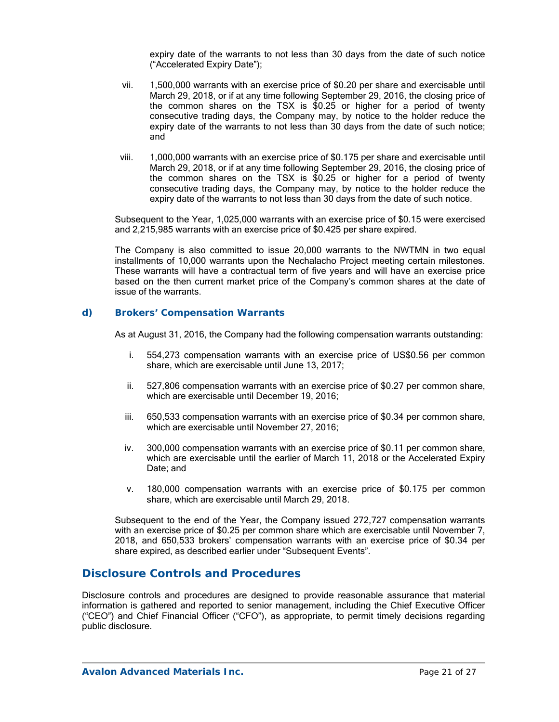expiry date of the warrants to not less than 30 days from the date of such notice ("Accelerated Expiry Date");

- vii. 1,500,000 warrants with an exercise price of \$0.20 per share and exercisable until March 29, 2018, or if at any time following September 29, 2016, the closing price of the common shares on the TSX is \$0.25 or higher for a period of twenty consecutive trading days, the Company may, by notice to the holder reduce the expiry date of the warrants to not less than 30 days from the date of such notice; and
- viii. 1,000,000 warrants with an exercise price of \$0.175 per share and exercisable until March 29, 2018, or if at any time following September 29, 2016, the closing price of the common shares on the TSX is \$0.25 or higher for a period of twenty consecutive trading days, the Company may, by notice to the holder reduce the expiry date of the warrants to not less than 30 days from the date of such notice.

Subsequent to the Year, 1,025,000 warrants with an exercise price of \$0.15 were exercised and 2,215,985 warrants with an exercise price of \$0.425 per share expired.

The Company is also committed to issue 20,000 warrants to the NWTMN in two equal installments of 10,000 warrants upon the Nechalacho Project meeting certain milestones. These warrants will have a contractual term of five years and will have an exercise price based on the then current market price of the Company's common shares at the date of issue of the warrants.

#### *d) Brokers' Compensation Warrants*

As at August 31, 2016, the Company had the following compensation warrants outstanding:

- i. 554,273 compensation warrants with an exercise price of US\$0.56 per common share, which are exercisable until June 13, 2017;
- ii. 527,806 compensation warrants with an exercise price of \$0.27 per common share, which are exercisable until December 19, 2016;
- iii. 650,533 compensation warrants with an exercise price of \$0.34 per common share, which are exercisable until November 27, 2016;
- iv. 300,000 compensation warrants with an exercise price of \$0.11 per common share, which are exercisable until the earlier of March 11, 2018 or the Accelerated Expiry Date; and
- v. 180,000 compensation warrants with an exercise price of \$0.175 per common share, which are exercisable until March 29, 2018.

Subsequent to the end of the Year, the Company issued 272,727 compensation warrants with an exercise price of \$0.25 per common share which are exercisable until November 7, 2018, and 650,533 brokers' compensation warrants with an exercise price of \$0.34 per share expired, as described earlier under "Subsequent Events".

### **Disclosure Controls and Procedures**

Disclosure controls and procedures are designed to provide reasonable assurance that material information is gathered and reported to senior management, including the Chief Executive Officer ("CEO") and Chief Financial Officer ("CFO"), as appropriate, to permit timely decisions regarding public disclosure.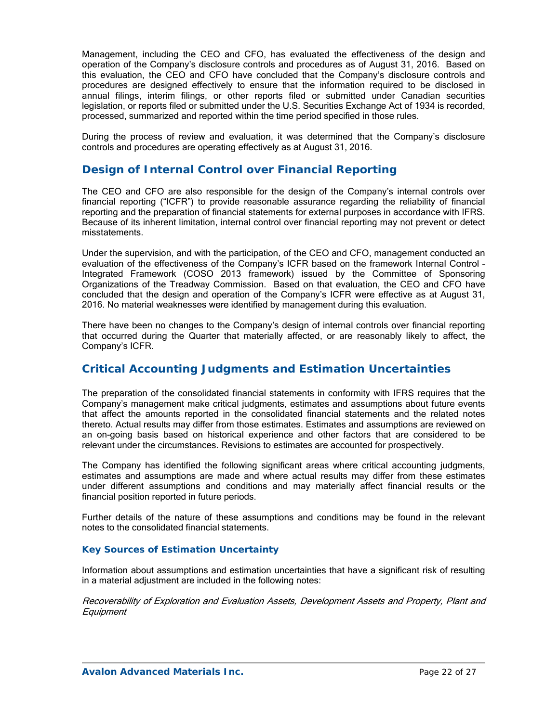Management, including the CEO and CFO, has evaluated the effectiveness of the design and operation of the Company's disclosure controls and procedures as of August 31, 2016. Based on this evaluation, the CEO and CFO have concluded that the Company's disclosure controls and procedures are designed effectively to ensure that the information required to be disclosed in annual filings, interim filings, or other reports filed or submitted under Canadian securities legislation, or reports filed or submitted under the U.S. Securities Exchange Act of 1934 is recorded, processed, summarized and reported within the time period specified in those rules.

During the process of review and evaluation, it was determined that the Company's disclosure controls and procedures are operating effectively as at August 31, 2016.

## **Design of Internal Control over Financial Reporting**

The CEO and CFO are also responsible for the design of the Company's internal controls over financial reporting ("ICFR") to provide reasonable assurance regarding the reliability of financial reporting and the preparation of financial statements for external purposes in accordance with IFRS. Because of its inherent limitation, internal control over financial reporting may not prevent or detect misstatements.

Under the supervision, and with the participation, of the CEO and CFO, management conducted an evaluation of the effectiveness of the Company's ICFR based on the framework Internal Control – Integrated Framework (COSO 2013 framework) issued by the Committee of Sponsoring Organizations of the Treadway Commission. Based on that evaluation, the CEO and CFO have concluded that the design and operation of the Company's ICFR were effective as at August 31, 2016. No material weaknesses were identified by management during this evaluation.

There have been no changes to the Company's design of internal controls over financial reporting that occurred during the Quarter that materially affected, or are reasonably likely to affect, the Company's ICFR.

## **Critical Accounting Judgments and Estimation Uncertainties**

The preparation of the consolidated financial statements in conformity with IFRS requires that the Company's management make critical judgments, estimates and assumptions about future events that affect the amounts reported in the consolidated financial statements and the related notes thereto. Actual results may differ from those estimates. Estimates and assumptions are reviewed on an on-going basis based on historical experience and other factors that are considered to be relevant under the circumstances. Revisions to estimates are accounted for prospectively.

The Company has identified the following significant areas where critical accounting judgments, estimates and assumptions are made and where actual results may differ from these estimates under different assumptions and conditions and may materially affect financial results or the financial position reported in future periods.

Further details of the nature of these assumptions and conditions may be found in the relevant notes to the consolidated financial statements.

### *Key Sources of Estimation Uncertainty*

Information about assumptions and estimation uncertainties that have a significant risk of resulting in a material adjustment are included in the following notes:

Recoverability of Exploration and Evaluation Assets, Development Assets and Property, Plant and **Equipment**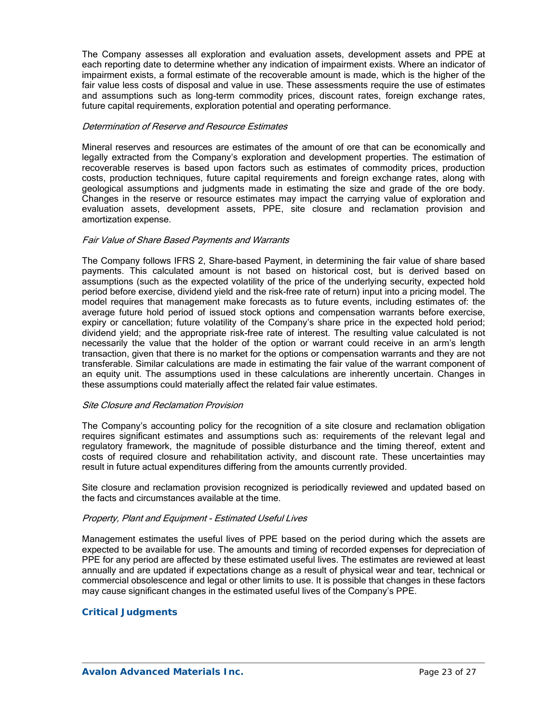The Company assesses all exploration and evaluation assets, development assets and PPE at each reporting date to determine whether any indication of impairment exists. Where an indicator of impairment exists, a formal estimate of the recoverable amount is made, which is the higher of the fair value less costs of disposal and value in use. These assessments require the use of estimates and assumptions such as long-term commodity prices, discount rates, foreign exchange rates, future capital requirements, exploration potential and operating performance.

#### Determination of Reserve and Resource Estimates

Mineral reserves and resources are estimates of the amount of ore that can be economically and legally extracted from the Company's exploration and development properties. The estimation of recoverable reserves is based upon factors such as estimates of commodity prices, production costs, production techniques, future capital requirements and foreign exchange rates, along with geological assumptions and judgments made in estimating the size and grade of the ore body. Changes in the reserve or resource estimates may impact the carrying value of exploration and evaluation assets, development assets, PPE, site closure and reclamation provision and amortization expense.

#### Fair Value of Share Based Payments and Warrants

The Company follows IFRS 2, Share-based Payment, in determining the fair value of share based payments. This calculated amount is not based on historical cost, but is derived based on assumptions (such as the expected volatility of the price of the underlying security, expected hold period before exercise, dividend yield and the risk-free rate of return) input into a pricing model. The model requires that management make forecasts as to future events, including estimates of: the average future hold period of issued stock options and compensation warrants before exercise, expiry or cancellation; future volatility of the Company's share price in the expected hold period; dividend yield; and the appropriate risk-free rate of interest. The resulting value calculated is not necessarily the value that the holder of the option or warrant could receive in an arm's length transaction, given that there is no market for the options or compensation warrants and they are not transferable. Similar calculations are made in estimating the fair value of the warrant component of an equity unit. The assumptions used in these calculations are inherently uncertain. Changes in these assumptions could materially affect the related fair value estimates.

#### Site Closure and Reclamation Provision

The Company's accounting policy for the recognition of a site closure and reclamation obligation requires significant estimates and assumptions such as: requirements of the relevant legal and regulatory framework, the magnitude of possible disturbance and the timing thereof, extent and costs of required closure and rehabilitation activity, and discount rate. These uncertainties may result in future actual expenditures differing from the amounts currently provided.

Site closure and reclamation provision recognized is periodically reviewed and updated based on the facts and circumstances available at the time.

### Property, Plant and Equipment - Estimated Useful Lives

Management estimates the useful lives of PPE based on the period during which the assets are expected to be available for use. The amounts and timing of recorded expenses for depreciation of PPE for any period are affected by these estimated useful lives. The estimates are reviewed at least annually and are updated if expectations change as a result of physical wear and tear, technical or commercial obsolescence and legal or other limits to use. It is possible that changes in these factors may cause significant changes in the estimated useful lives of the Company's PPE.

### *Critical Judgments*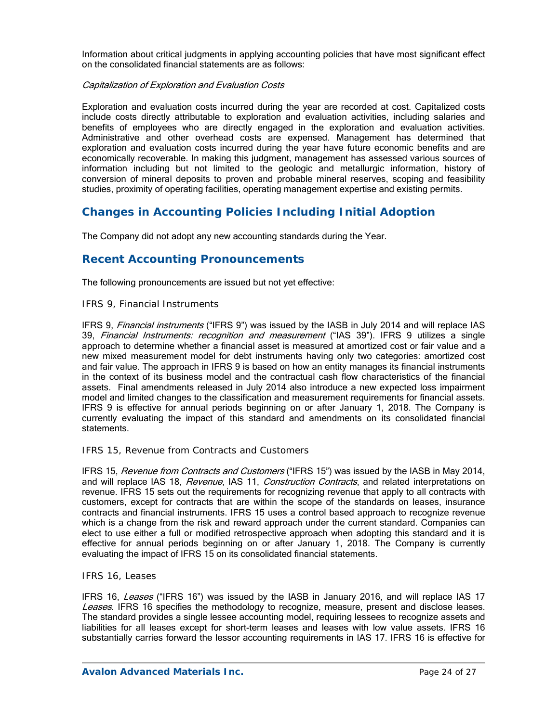Information about critical judgments in applying accounting policies that have most significant effect on the consolidated financial statements are as follows:

### Capitalization of Exploration and Evaluation Costs

Exploration and evaluation costs incurred during the year are recorded at cost. Capitalized costs include costs directly attributable to exploration and evaluation activities, including salaries and benefits of employees who are directly engaged in the exploration and evaluation activities. Administrative and other overhead costs are expensed. Management has determined that exploration and evaluation costs incurred during the year have future economic benefits and are economically recoverable. In making this judgment, management has assessed various sources of information including but not limited to the geologic and metallurgic information, history of conversion of mineral deposits to proven and probable mineral reserves, scoping and feasibility studies, proximity of operating facilities, operating management expertise and existing permits.

## **Changes in Accounting Policies Including Initial Adoption**

The Company did not adopt any new accounting standards during the Year.

## **Recent Accounting Pronouncements**

The following pronouncements are issued but not yet effective:

### *IFRS 9, Financial Instruments*

IFRS 9, Financial instruments ("IFRS 9") was issued by the IASB in July 2014 and will replace IAS 39, Financial Instruments: recognition and measurement ("IAS 39"). IFRS 9 utilizes a single approach to determine whether a financial asset is measured at amortized cost or fair value and a new mixed measurement model for debt instruments having only two categories: amortized cost and fair value. The approach in IFRS 9 is based on how an entity manages its financial instruments in the context of its business model and the contractual cash flow characteristics of the financial assets. Final amendments released in July 2014 also introduce a new expected loss impairment model and limited changes to the classification and measurement requirements for financial assets. IFRS 9 is effective for annual periods beginning on or after January 1, 2018. The Company is currently evaluating the impact of this standard and amendments on its consolidated financial statements.

### *IFRS 15, Revenue from Contracts and Customers*

IFRS 15, Revenue from Contracts and Customers ("IFRS 15") was issued by the IASB in May 2014, and will replace IAS 18, Revenue, IAS 11, Construction Contracts, and related interpretations on revenue. IFRS 15 sets out the requirements for recognizing revenue that apply to all contracts with customers, except for contracts that are within the scope of the standards on leases, insurance contracts and financial instruments. IFRS 15 uses a control based approach to recognize revenue which is a change from the risk and reward approach under the current standard. Companies can elect to use either a full or modified retrospective approach when adopting this standard and it is effective for annual periods beginning on or after January 1, 2018. The Company is currently evaluating the impact of IFRS 15 on its consolidated financial statements.

#### *IFRS 16, Leases*

IFRS 16, Leases ("IFRS 16") was issued by the IASB in January 2016, and will replace IAS 17 Leases. IFRS 16 specifies the methodology to recognize, measure, present and disclose leases. The standard provides a single lessee accounting model, requiring lessees to recognize assets and liabilities for all leases except for short-term leases and leases with low value assets. IFRS 16 substantially carries forward the lessor accounting requirements in IAS 17. IFRS 16 is effective for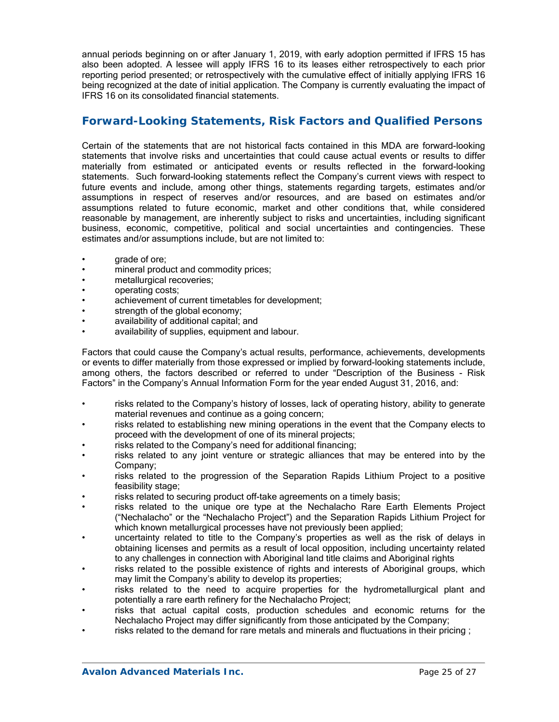annual periods beginning on or after January 1, 2019, with early adoption permitted if IFRS 15 has also been adopted. A lessee will apply IFRS 16 to its leases either retrospectively to each prior reporting period presented; or retrospectively with the cumulative effect of initially applying IFRS 16 being recognized at the date of initial application. The Company is currently evaluating the impact of IFRS 16 on its consolidated financial statements.

### **Forward-Looking Statements, Risk Factors and Qualified Persons**

Certain of the statements that are not historical facts contained in this MDA are forward-looking statements that involve risks and uncertainties that could cause actual events or results to differ materially from estimated or anticipated events or results reflected in the forward-looking statements. Such forward-looking statements reflect the Company's current views with respect to future events and include, among other things, statements regarding targets, estimates and/or assumptions in respect of reserves and/or resources, and are based on estimates and/or assumptions related to future economic, market and other conditions that, while considered reasonable by management, are inherently subject to risks and uncertainties, including significant business, economic, competitive, political and social uncertainties and contingencies. These estimates and/or assumptions include, but are not limited to:

- grade of ore;
- mineral product and commodity prices;
- metallurgical recoveries;
- operating costs;
- achievement of current timetables for development;
- strength of the global economy;
- availability of additional capital; and
- availability of supplies, equipment and labour.

Factors that could cause the Company's actual results, performance, achievements, developments or events to differ materially from those expressed or implied by forward-looking statements include, among others, the factors described or referred to under "Description of the Business - Risk Factors" in the Company's Annual Information Form for the year ended August 31, 2016, and:

- risks related to the Company's history of losses, lack of operating history, ability to generate material revenues and continue as a going concern;
- risks related to establishing new mining operations in the event that the Company elects to proceed with the development of one of its mineral projects;
- risks related to the Company's need for additional financing;
- risks related to any joint venture or strategic alliances that may be entered into by the Company;
- risks related to the progression of the Separation Rapids Lithium Project to a positive feasibility stage;
- risks related to securing product off-take agreements on a timely basis;
- risks related to the unique ore type at the Nechalacho Rare Earth Elements Project ("Nechalacho" or the "Nechalacho Project") and the Separation Rapids Lithium Project for which known metallurgical processes have not previously been applied;
- uncertainty related to title to the Company's properties as well as the risk of delays in obtaining licenses and permits as a result of local opposition, including uncertainty related to any challenges in connection with Aboriginal land title claims and Aboriginal rights
- risks related to the possible existence of rights and interests of Aboriginal groups, which may limit the Company's ability to develop its properties;
- risks related to the need to acquire properties for the hydrometallurgical plant and potentially a rare earth refinery for the Nechalacho Project;
- risks that actual capital costs, production schedules and economic returns for the Nechalacho Project may differ significantly from those anticipated by the Company;
- risks related to the demand for rare metals and minerals and fluctuations in their pricing;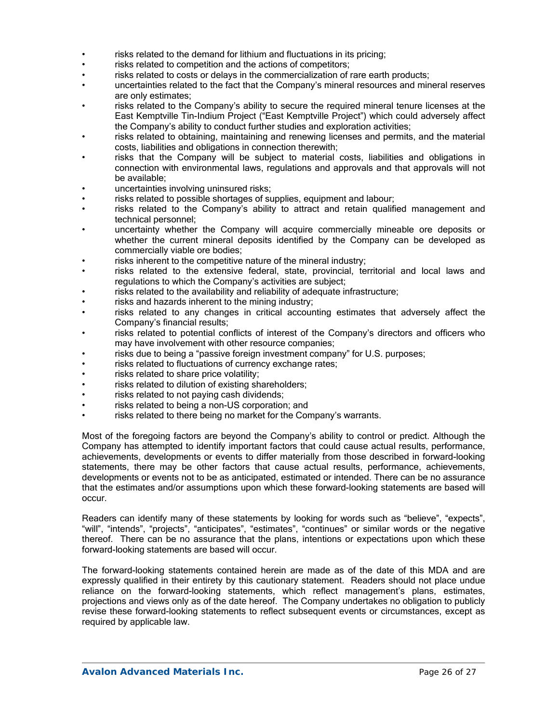- risks related to the demand for lithium and fluctuations in its pricing;
- risks related to competition and the actions of competitors;
- risks related to costs or delays in the commercialization of rare earth products;
- uncertainties related to the fact that the Company's mineral resources and mineral reserves are only estimates;
- risks related to the Company's ability to secure the required mineral tenure licenses at the East Kemptville Tin-Indium Project ("East Kemptville Project") which could adversely affect the Company's ability to conduct further studies and exploration activities;
- risks related to obtaining, maintaining and renewing licenses and permits, and the material costs, liabilities and obligations in connection therewith;
- risks that the Company will be subject to material costs, liabilities and obligations in connection with environmental laws, regulations and approvals and that approvals will not be available;
- uncertainties involving uninsured risks;
- risks related to possible shortages of supplies, equipment and labour;
- risks related to the Company's ability to attract and retain qualified management and technical personnel;
- uncertainty whether the Company will acquire commercially mineable ore deposits or whether the current mineral deposits identified by the Company can be developed as commercially viable ore bodies;
- risks inherent to the competitive nature of the mineral industry;
- risks related to the extensive federal, state, provincial, territorial and local laws and regulations to which the Company's activities are subject;
- risks related to the availability and reliability of adequate infrastructure;
- risks and hazards inherent to the mining industry;
- risks related to any changes in critical accounting estimates that adversely affect the Company's financial results;
- risks related to potential conflicts of interest of the Company's directors and officers who may have involvement with other resource companies;
- risks due to being a "passive foreign investment company" for U.S. purposes;
- risks related to fluctuations of currency exchange rates;
- risks related to share price volatility;
- risks related to dilution of existing shareholders;
- risks related to not paying cash dividends;
- risks related to being a non-US corporation; and
- risks related to there being no market for the Company's warrants.

Most of the foregoing factors are beyond the Company's ability to control or predict. Although the Company has attempted to identify important factors that could cause actual results, performance, achievements, developments or events to differ materially from those described in forward-looking statements, there may be other factors that cause actual results, performance, achievements, developments or events not to be as anticipated, estimated or intended. There can be no assurance that the estimates and/or assumptions upon which these forward-looking statements are based will occur.

Readers can identify many of these statements by looking for words such as "believe", "expects", "will", "intends", "projects", "anticipates", "estimates", "continues" or similar words or the negative thereof. There can be no assurance that the plans, intentions or expectations upon which these forward-looking statements are based will occur.

The forward-looking statements contained herein are made as of the date of this MDA and are expressly qualified in their entirety by this cautionary statement. Readers should not place undue reliance on the forward-looking statements, which reflect management's plans, estimates, projections and views only as of the date hereof. The Company undertakes no obligation to publicly revise these forward-looking statements to reflect subsequent events or circumstances, except as required by applicable law.